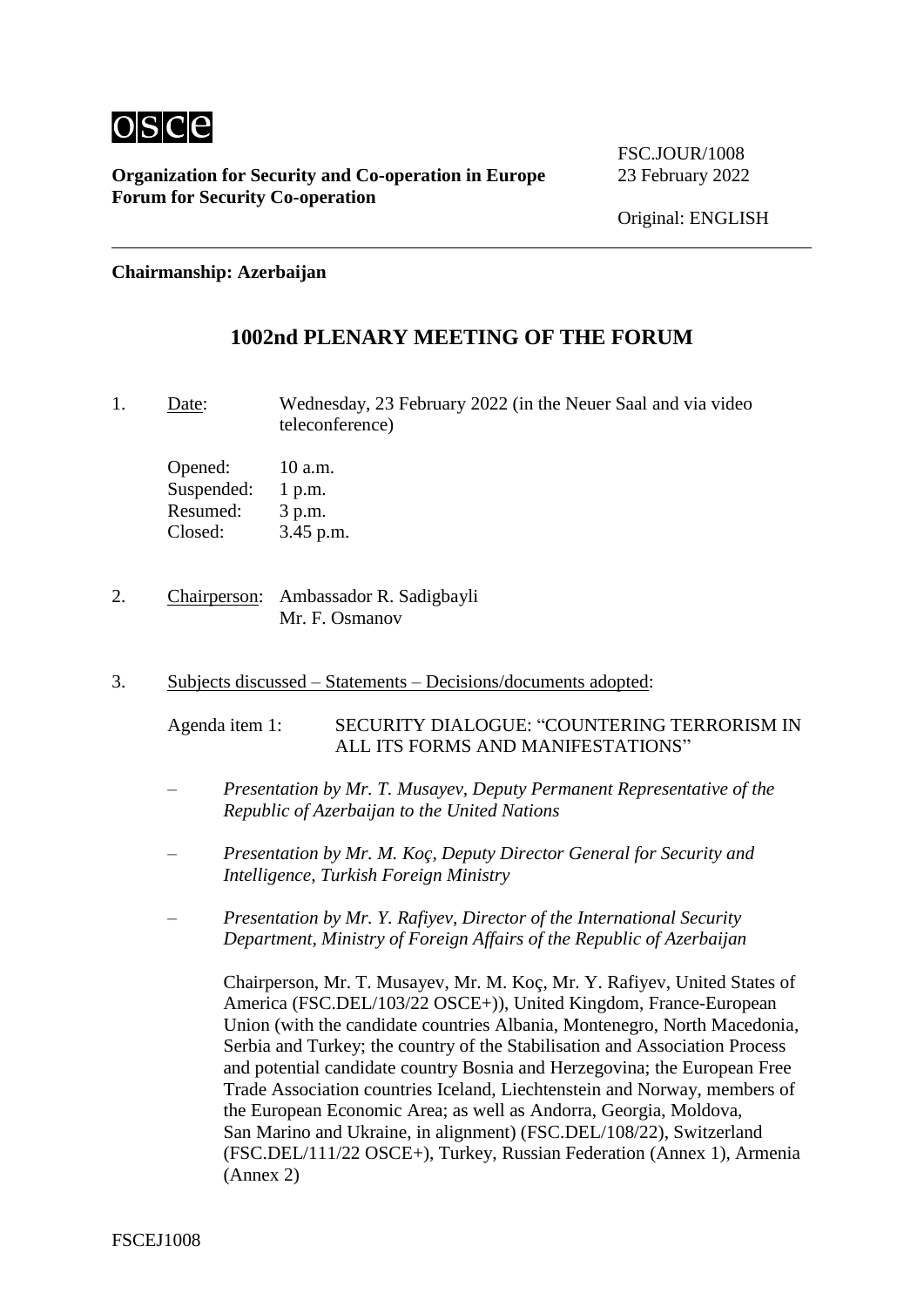

FSC.JOUR/1008

**Chairmanship: Azerbaijan**

# **1002nd PLENARY MEETING OF THE FORUM**

1. Date: Wednesday, 23 February 2022 (in the Neuer Saal and via video teleconference)

Opened: 10 a.m. Suspended: 1 p.m. Resumed: 3 p.m. Closed: 3.45 p.m.

- 2. Chairperson: Ambassador R. Sadigbayli Mr. F. Osmanov
- 3. Subjects discussed Statements Decisions/documents adopted:

Agenda item 1: SECURITY DIALOGUE: "COUNTERING TERRORISM IN ALL ITS FORMS AND MANIFESTATIONS"

- *– Presentation by Mr. T. Musayev, Deputy Permanent Representative of the Republic of Azerbaijan to the United Nations*
- *– Presentation by Mr. M. Koç, Deputy Director General for Security and Intelligence, Turkish Foreign Ministry*
- *– Presentation by Mr. Y. Rafiyev, Director of the International Security Department, Ministry of Foreign Affairs of the Republic of Azerbaijan*

Chairperson, Mr. T. Musayev, Mr. M. Koç, Mr. Y. Rafiyev, United States of America (FSC.DEL/103/22 OSCE+)), United Kingdom, France-European Union (with the candidate countries Albania, Montenegro, North Macedonia, Serbia and Turkey; the country of the Stabilisation and Association Process and potential candidate country Bosnia and Herzegovina; the European Free Trade Association countries Iceland, Liechtenstein and Norway, members of the European Economic Area; as well as Andorra, Georgia, Moldova, San Marino and Ukraine, in alignment) (FSC.DEL/108/22), Switzerland (FSC.DEL/111/22 OSCE+), Turkey, Russian Federation (Annex 1), Armenia (Annex 2)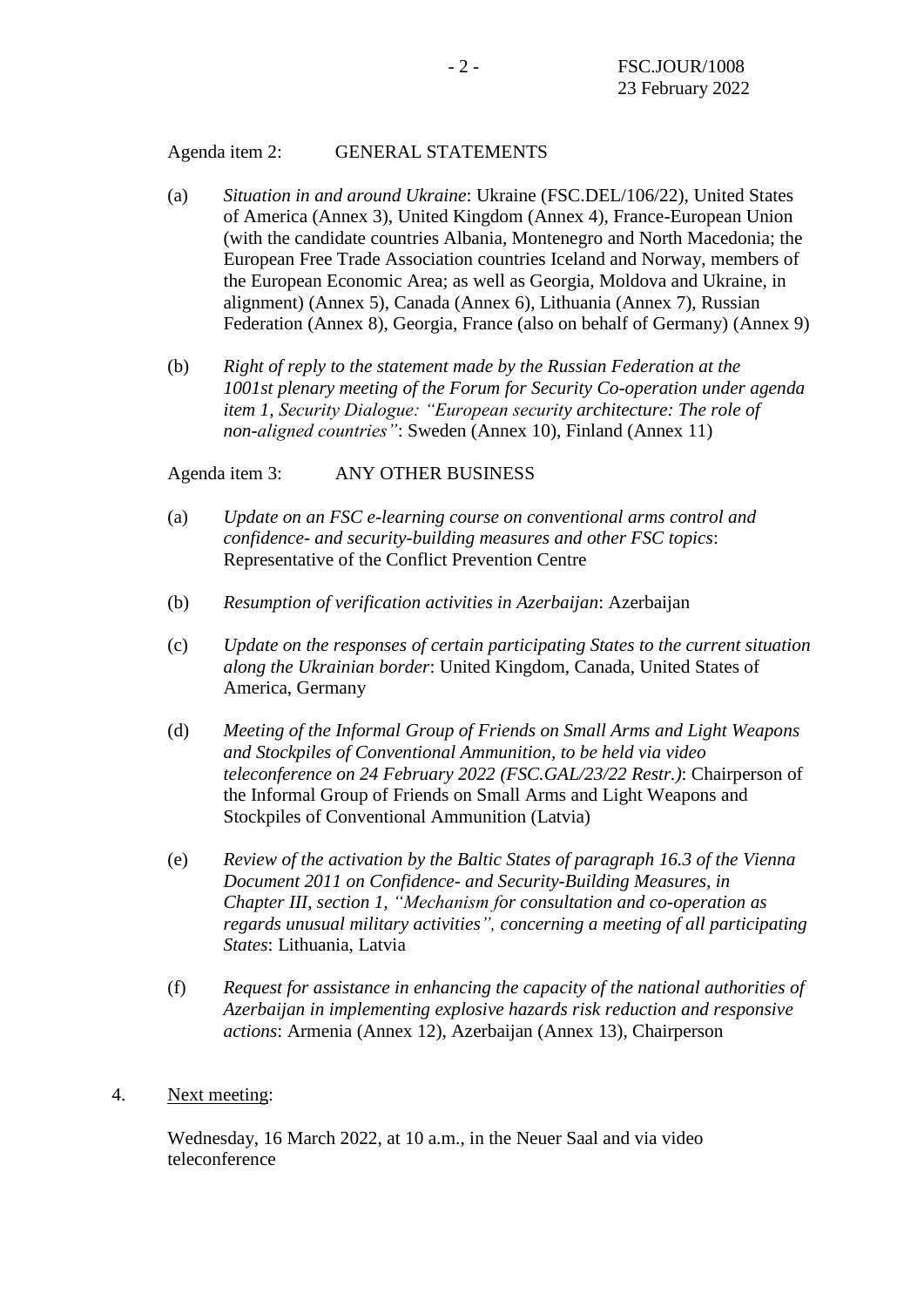#### Agenda item 2: GENERAL STATEMENTS

- (a) *Situation in and around Ukraine*: Ukraine (FSC.DEL/106/22), United States of America (Annex 3), United Kingdom (Annex 4), France-European Union (with the candidate countries Albania, Montenegro and North Macedonia; the European Free Trade Association countries Iceland and Norway, members of the European Economic Area; as well as Georgia, Moldova and Ukraine, in alignment) (Annex 5), Canada (Annex 6), Lithuania (Annex 7), Russian Federation (Annex 8), Georgia, France (also on behalf of Germany) (Annex 9)
- (b) *Right of reply to the statement made by the Russian Federation at the 1001st plenary meeting of the Forum for Security Co-operation under agenda item 1, Security Dialogue: "European security architecture: The role of non-aligned countries"*: Sweden (Annex 10), Finland (Annex 11)

Agenda item 3: ANY OTHER BUSINESS

- (a) *Update on an FSC e-learning course on conventional arms control and confidence- and security-building measures and other FSC topics*: Representative of the Conflict Prevention Centre
- (b) *Resumption of verification activities in Azerbaijan*: Azerbaijan
- (c) *Update on the responses of certain participating States to the current situation along the Ukrainian border*: United Kingdom, Canada, United States of America, Germany
- (d) *Meeting of the Informal Group of Friends on Small Arms and Light Weapons and Stockpiles of Conventional Ammunition, to be held via video teleconference on 24 February 2022 (FSC.GAL/23/22 Restr.)*: Chairperson of the Informal Group of Friends on Small Arms and Light Weapons and Stockpiles of Conventional Ammunition (Latvia)
- (e) *Review of the activation by the Baltic States of paragraph 16.3 of the Vienna Document 2011 on Confidence- and Security-Building Measures, in Chapter III, section 1, "Mechanism for consultation and co-operation as regards unusual military activities", concerning a meeting of all participating States*: Lithuania, Latvia
- (f) *Request for assistance in enhancing the capacity of the national authorities of Azerbaijan in implementing explosive hazards risk reduction and responsive actions*: Armenia (Annex 12), Azerbaijan (Annex 13), Chairperson
- 4. Next meeting:

Wednesday, 16 March 2022, at 10 a.m., in the Neuer Saal and via video teleconference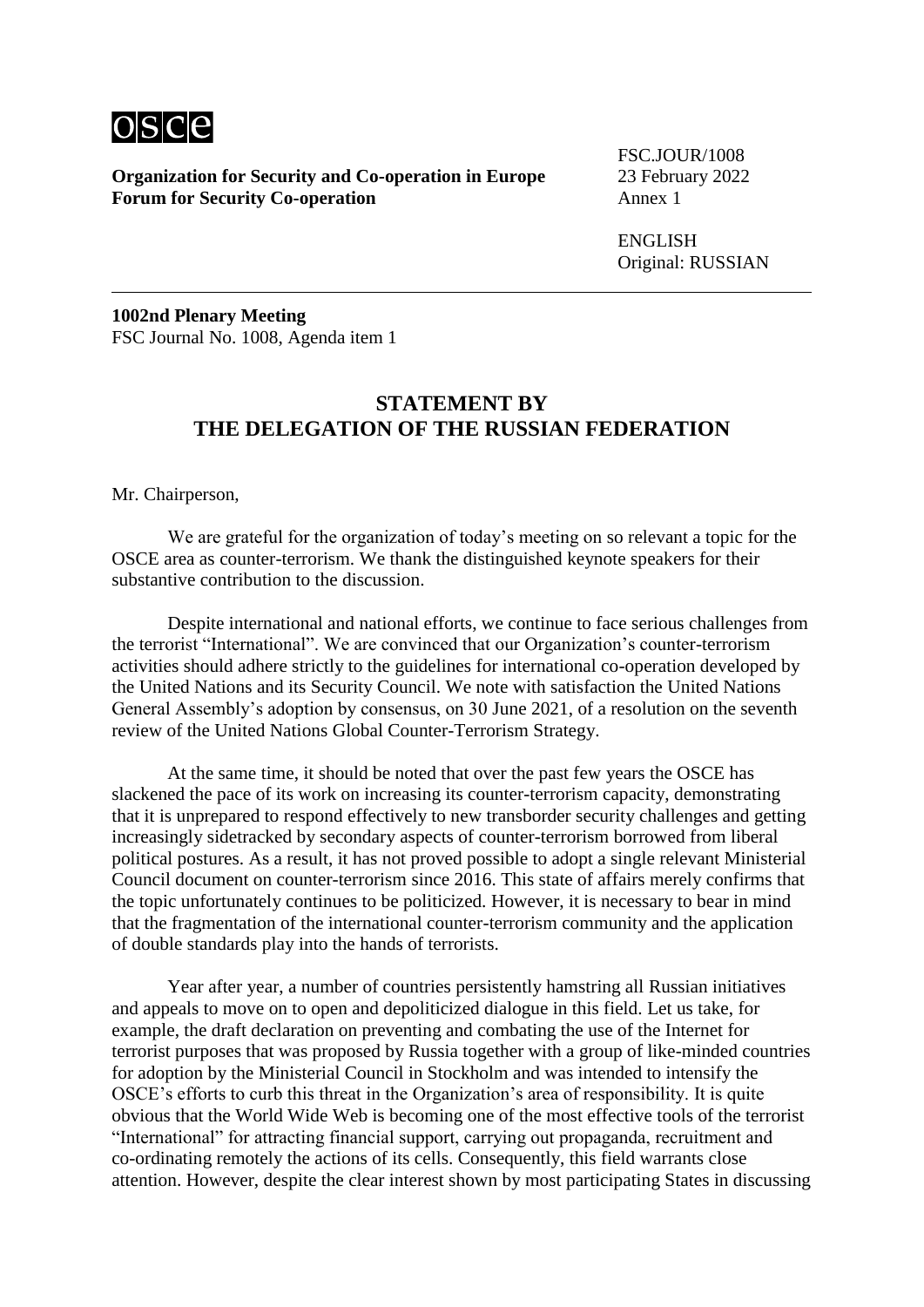

FSC.JOUR/1008

ENGLISH Original: RUSSIAN

**1002nd Plenary Meeting** FSC Journal No. 1008, Agenda item 1

#### **STATEMENT BY THE DELEGATION OF THE RUSSIAN FEDERATION**

Mr. Chairperson,

We are grateful for the organization of today's meeting on so relevant a topic for the OSCE area as counter-terrorism. We thank the distinguished keynote speakers for their substantive contribution to the discussion.

Despite international and national efforts, we continue to face serious challenges from the terrorist "International". We are convinced that our Organization's counter-terrorism activities should adhere strictly to the guidelines for international co-operation developed by the United Nations and its Security Council. We note with satisfaction the United Nations General Assembly's adoption by consensus, on 30 June 2021, of a resolution on the seventh review of the United Nations Global Counter-Terrorism Strategy.

At the same time, it should be noted that over the past few years the OSCE has slackened the pace of its work on increasing its counter-terrorism capacity, demonstrating that it is unprepared to respond effectively to new transborder security challenges and getting increasingly sidetracked by secondary aspects of counter-terrorism borrowed from liberal political postures. As a result, it has not proved possible to adopt a single relevant Ministerial Council document on counter-terrorism since 2016. This state of affairs merely confirms that the topic unfortunately continues to be politicized. However, it is necessary to bear in mind that the fragmentation of the international counter-terrorism community and the application of double standards play into the hands of terrorists.

Year after year, a number of countries persistently hamstring all Russian initiatives and appeals to move on to open and depoliticized dialogue in this field. Let us take, for example, the draft declaration on preventing and combating the use of the Internet for terrorist purposes that was proposed by Russia together with a group of like-minded countries for adoption by the Ministerial Council in Stockholm and was intended to intensify the OSCE's efforts to curb this threat in the Organization's area of responsibility. It is quite obvious that the World Wide Web is becoming one of the most effective tools of the terrorist "International" for attracting financial support, carrying out propaganda, recruitment and co-ordinating remotely the actions of its cells. Consequently, this field warrants close attention. However, despite the clear interest shown by most participating States in discussing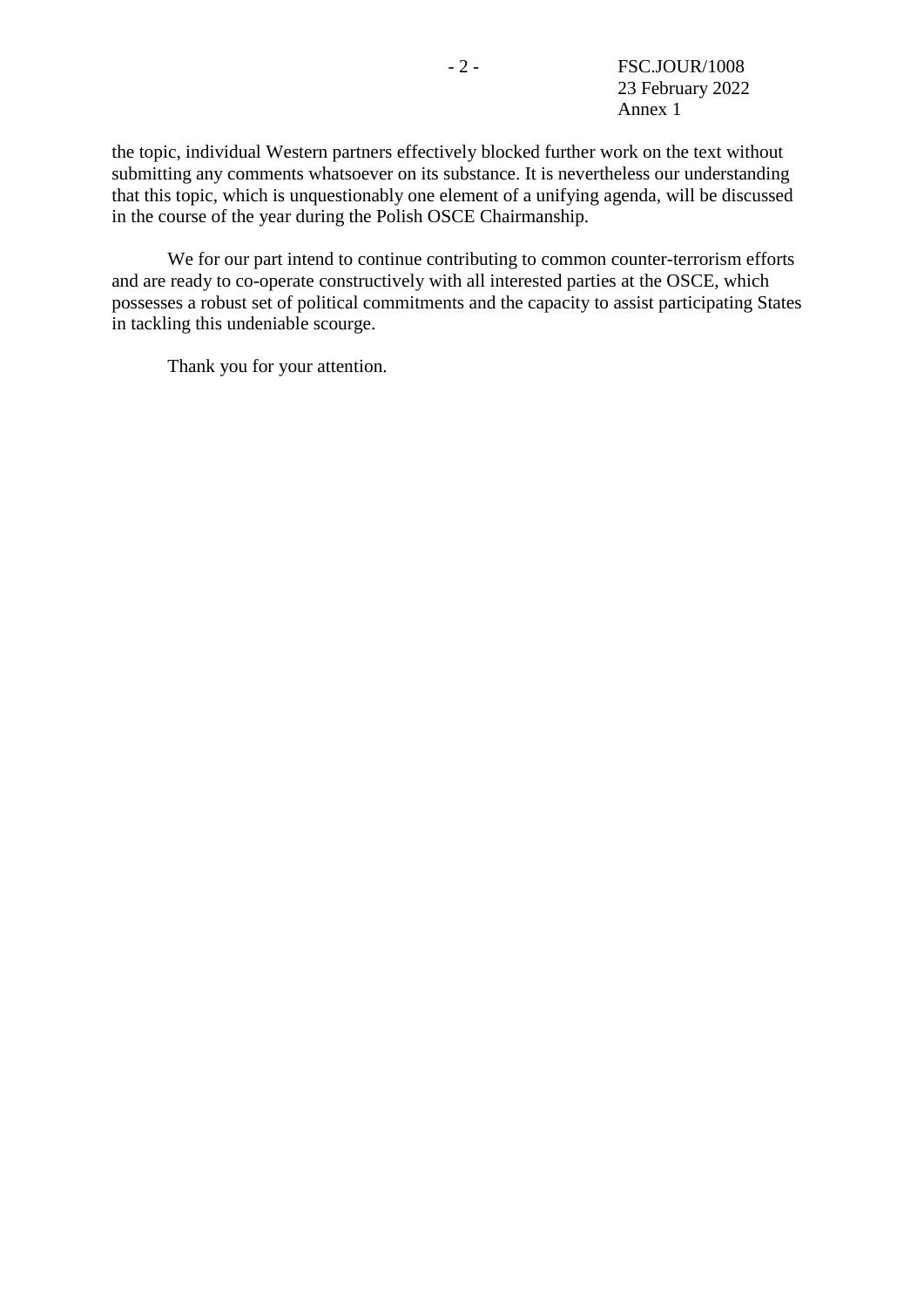the topic, individual Western partners effectively blocked further work on the text without submitting any comments whatsoever on its substance. It is nevertheless our understanding that this topic, which is unquestionably one element of a unifying agenda, will be discussed in the course of the year during the Polish OSCE Chairmanship.

We for our part intend to continue contributing to common counter-terrorism efforts and are ready to co-operate constructively with all interested parties at the OSCE, which possesses a robust set of political commitments and the capacity to assist participating States in tackling this undeniable scourge.

Thank you for your attention.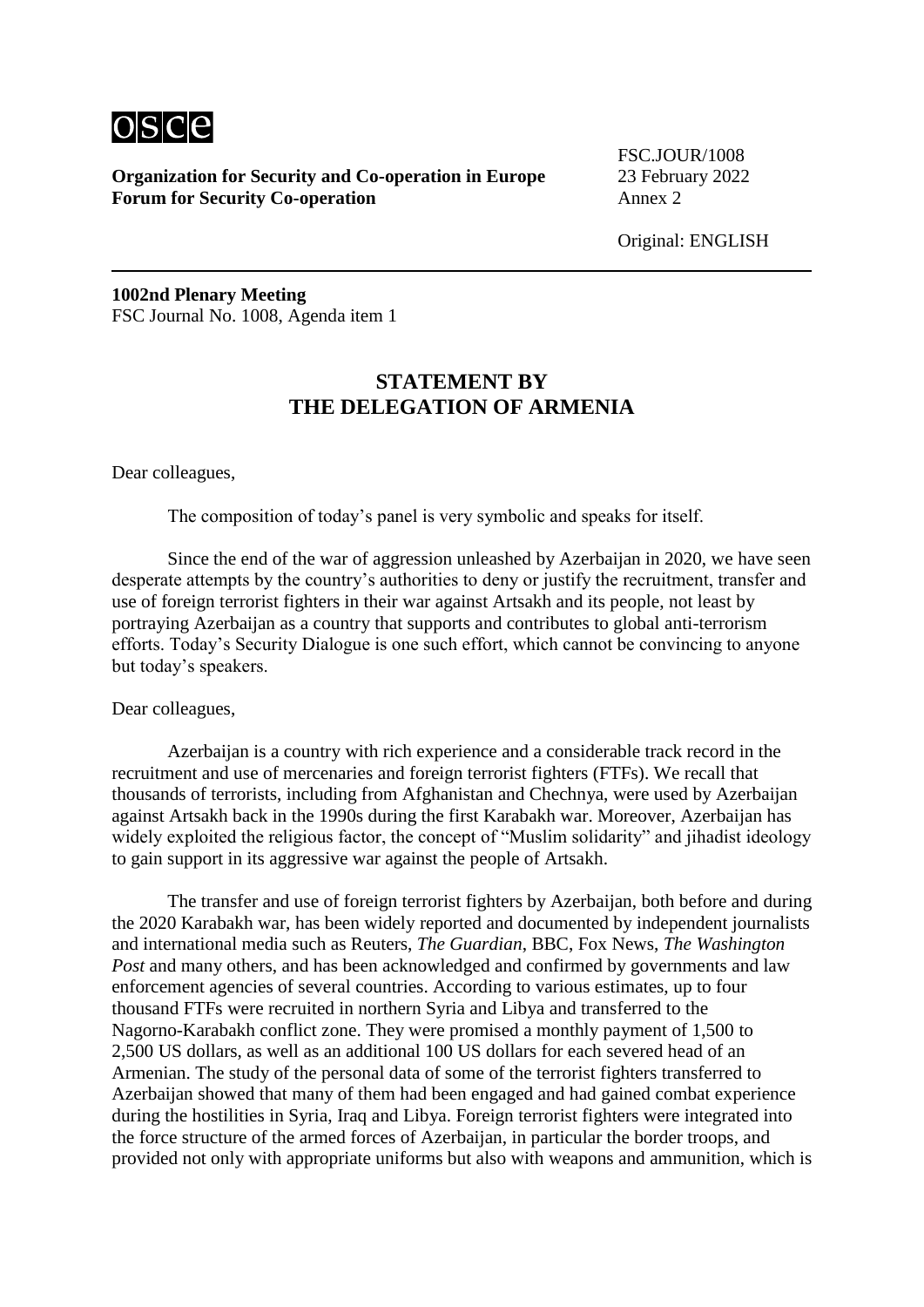

**Organization for Security and Co-operation in Europe** 23 February 2022<br>**Forum for Security Co-operation** Annex 2 **Forum for Security Co-operation** 

FSC.JOUR/1008

Original: ENGLISH

**1002nd Plenary Meeting** FSC Journal No. 1008, Agenda item 1

# **STATEMENT BY THE DELEGATION OF ARMENIA**

Dear colleagues,

The composition of today's panel is very symbolic and speaks for itself.

Since the end of the war of aggression unleashed by Azerbaijan in 2020, we have seen desperate attempts by the country's authorities to deny or justify the recruitment, transfer and use of foreign terrorist fighters in their war against Artsakh and its people, not least by portraying Azerbaijan as a country that supports and contributes to global anti-terrorism efforts. Today's Security Dialogue is one such effort, which cannot be convincing to anyone but today's speakers.

#### Dear colleagues,

Azerbaijan is a country with rich experience and a considerable track record in the recruitment and use of mercenaries and foreign terrorist fighters (FTFs). We recall that thousands of terrorists, including from Afghanistan and Chechnya, were used by Azerbaijan against Artsakh back in the 1990s during the first Karabakh war. Moreover, Azerbaijan has widely exploited the religious factor, the concept of "Muslim solidarity" and jihadist ideology to gain support in its aggressive war against the people of Artsakh.

The transfer and use of foreign terrorist fighters by Azerbaijan, both before and during the 2020 Karabakh war, has been widely reported and documented by independent journalists and international media such as Reuters, *The Guardian*, BBC, Fox News, *The Washington Post* and many others, and has been acknowledged and confirmed by governments and law enforcement agencies of several countries. According to various estimates, up to four thousand FTFs were recruited in northern Syria and Libya and transferred to the Nagorno-Karabakh conflict zone. They were promised a monthly payment of 1,500 to 2,500 US dollars, as well as an additional 100 US dollars for each severed head of an Armenian. The study of the personal data of some of the terrorist fighters transferred to Azerbaijan showed that many of them had been engaged and had gained combat experience during the hostilities in Syria, Iraq and Libya. Foreign terrorist fighters were integrated into the force structure of the armed forces of Azerbaijan, in particular the border troops, and provided not only with appropriate uniforms but also with weapons and ammunition, which is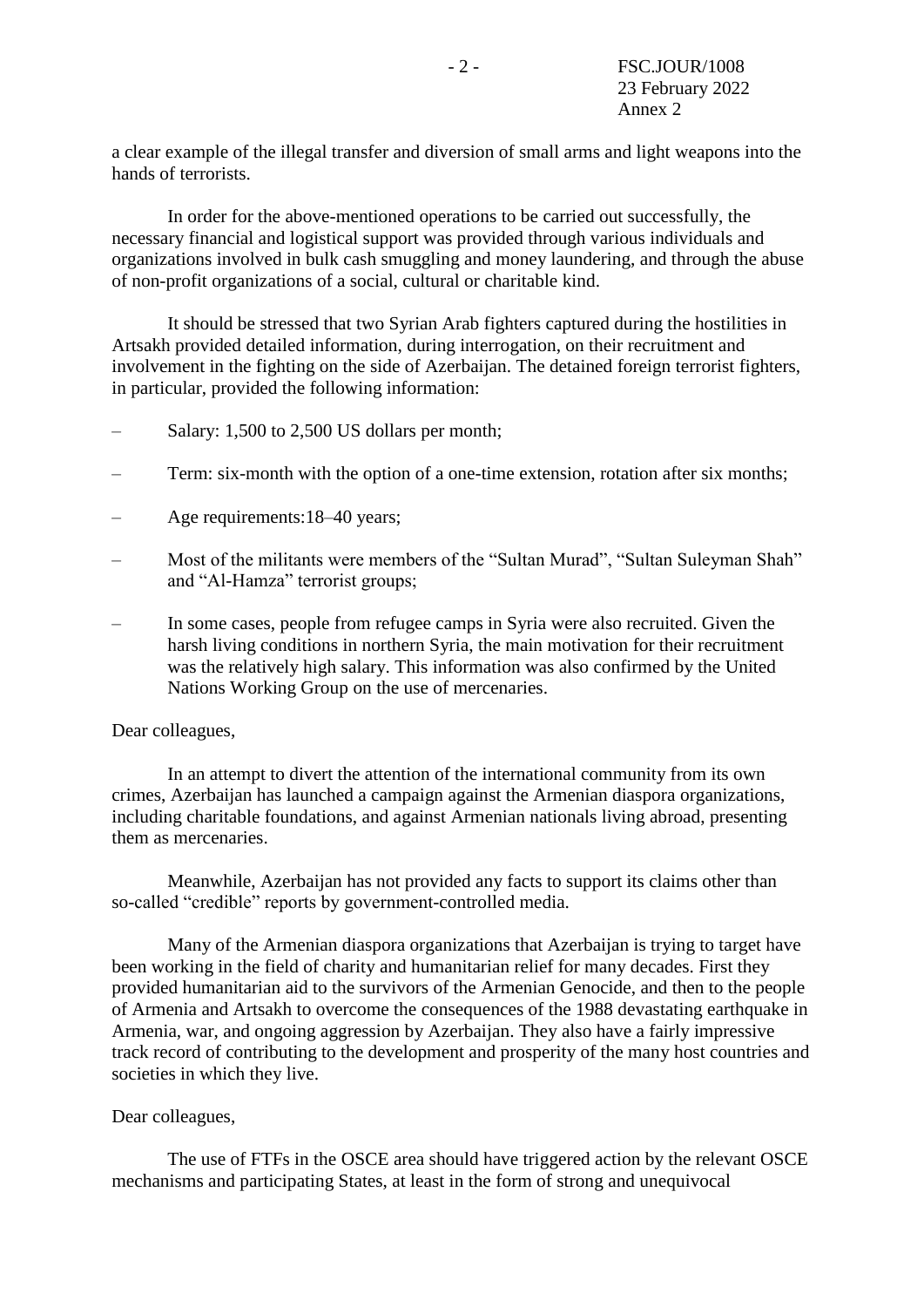a clear example of the illegal transfer and diversion of small arms and light weapons into the hands of terrorists.

In order for the above-mentioned operations to be carried out successfully, the necessary financial and logistical support was provided through various individuals and organizations involved in bulk cash smuggling and money laundering, and through the abuse of non-profit organizations of a social, cultural or charitable kind.

It should be stressed that two Syrian Arab fighters captured during the hostilities in Artsakh provided detailed information, during interrogation, on their recruitment and involvement in the fighting on the side of Azerbaijan. The detained foreign terrorist fighters, in particular, provided the following information:

- Salary: 1,500 to 2,500 US dollars per month;
- Term: six-month with the option of a one-time extension, rotation after six months;
- Age requirements:18–40 years;
- Most of the militants were members of the "Sultan Murad", "Sultan Suleyman Shah" and "Al-Hamza" terrorist groups;
- In some cases, people from refugee camps in Syria were also recruited. Given the harsh living conditions in northern Syria, the main motivation for their recruitment was the relatively high salary. This information was also confirmed by the United Nations Working Group on the use of mercenaries.

#### Dear colleagues,

In an attempt to divert the attention of the international community from its own crimes, Azerbaijan has launched a campaign against the Armenian diaspora organizations, including charitable foundations, and against Armenian nationals living abroad, presenting them as mercenaries.

Meanwhile, Azerbaijan has not provided any facts to support its claims other than so-called "credible" reports by government-controlled media.

Many of the Armenian diaspora organizations that Azerbaijan is trying to target have been working in the field of charity and humanitarian relief for many decades. First they provided humanitarian aid to the survivors of the Armenian Genocide, and then to the people of Armenia and Artsakh to overcome the consequences of the 1988 devastating earthquake in Armenia, war, and ongoing aggression by Azerbaijan. They also have a fairly impressive track record of contributing to the development and prosperity of the many host countries and societies in which they live.

#### Dear colleagues,

The use of FTFs in the OSCE area should have triggered action by the relevant OSCE mechanisms and participating States, at least in the form of strong and unequivocal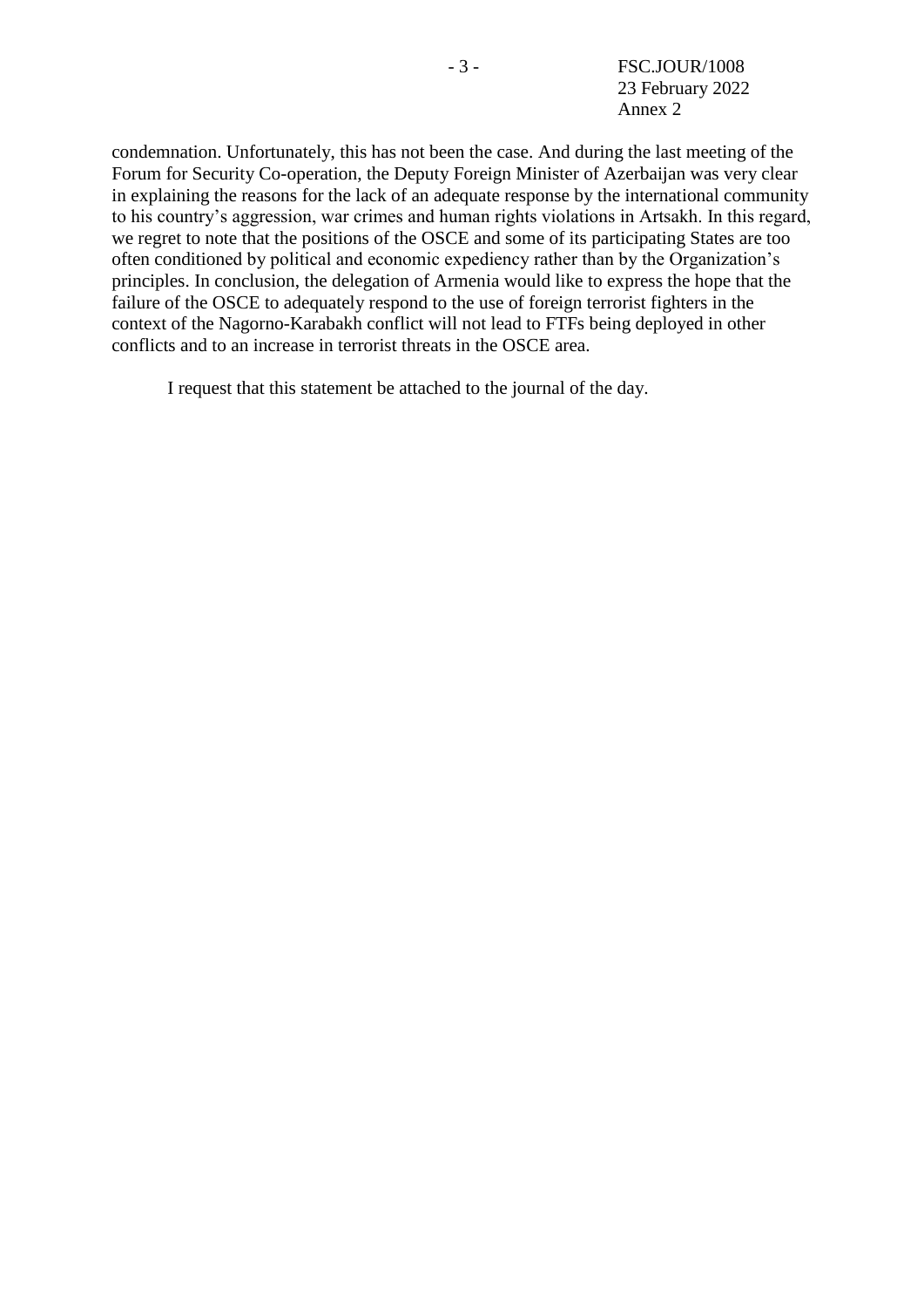condemnation. Unfortunately, this has not been the case. And during the last meeting of the Forum for Security Co-operation, the Deputy Foreign Minister of Azerbaijan was very clear in explaining the reasons for the lack of an adequate response by the international community to his country's aggression, war crimes and human rights violations in Artsakh. In this regard, we regret to note that the positions of the OSCE and some of its participating States are too often conditioned by political and economic expediency rather than by the Organization's principles. In conclusion, the delegation of Armenia would like to express the hope that the failure of the OSCE to adequately respond to the use of foreign terrorist fighters in the context of the Nagorno-Karabakh conflict will not lead to FTFs being deployed in other conflicts and to an increase in terrorist threats in the OSCE area.

I request that this statement be attached to the journal of the day.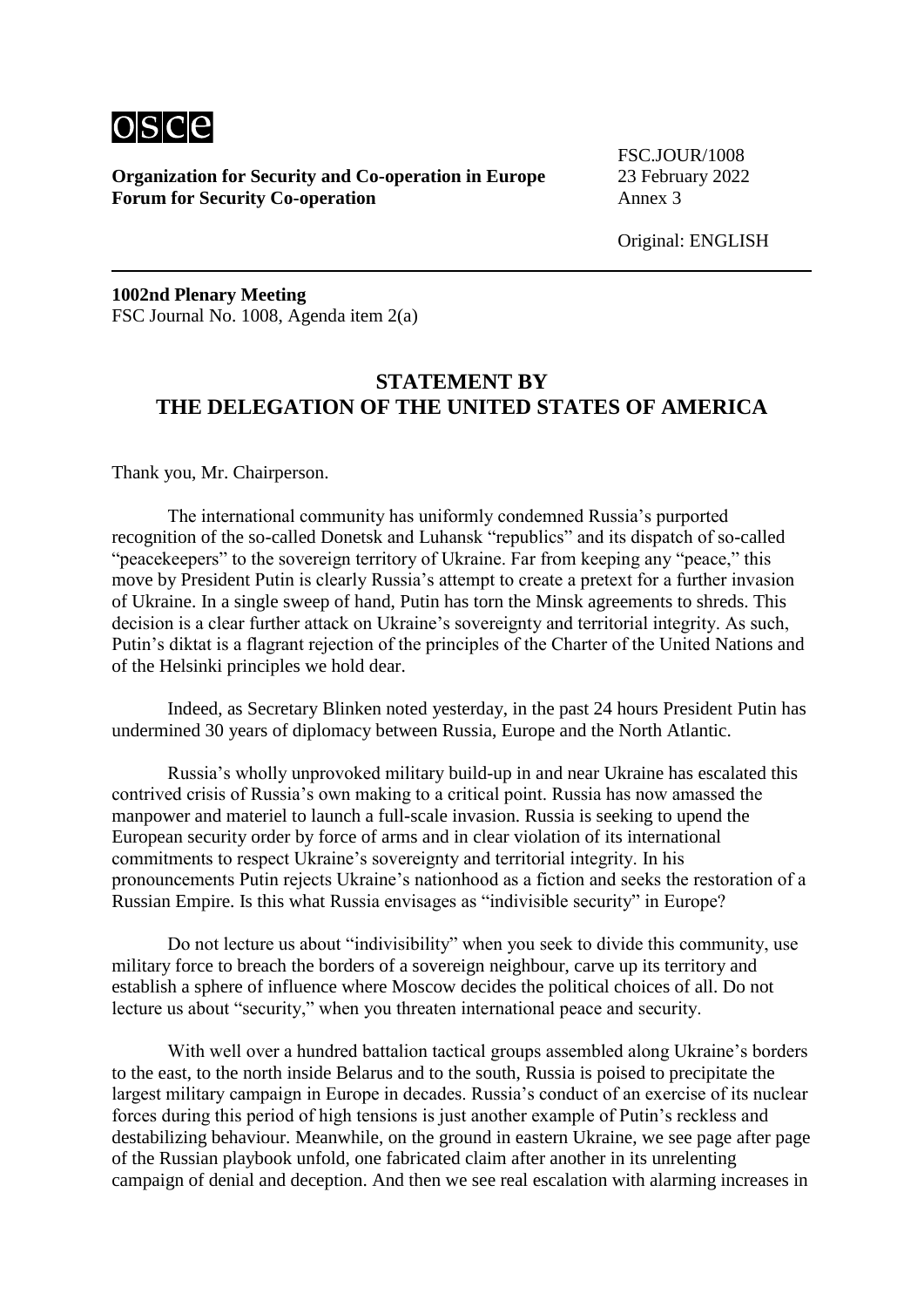

FSC.JOUR/1008

**1002nd Plenary Meeting** FSC Journal No. 1008, Agenda item 2(a)

### **STATEMENT BY THE DELEGATION OF THE UNITED STATES OF AMERICA**

Thank you, Mr. Chairperson.

The international community has uniformly condemned Russia's purported recognition of the so-called Donetsk and Luhansk "republics" and its dispatch of so-called "peacekeepers" to the sovereign territory of Ukraine. Far from keeping any "peace," this move by President Putin is clearly Russia's attempt to create a pretext for a further invasion of Ukraine. In a single sweep of hand, Putin has torn the Minsk agreements to shreds. This decision is a clear further attack on Ukraine's sovereignty and territorial integrity. As such, Putin's diktat is a flagrant rejection of the principles of the Charter of the United Nations and of the Helsinki principles we hold dear.

Indeed, as Secretary Blinken noted yesterday, in the past 24 hours President Putin has undermined 30 years of diplomacy between Russia, Europe and the North Atlantic.

Russia's wholly unprovoked military build-up in and near Ukraine has escalated this contrived crisis of Russia's own making to a critical point. Russia has now amassed the manpower and materiel to launch a full-scale invasion. Russia is seeking to upend the European security order by force of arms and in clear violation of its international commitments to respect Ukraine's sovereignty and territorial integrity. In his pronouncements Putin rejects Ukraine's nationhood as a fiction and seeks the restoration of a Russian Empire. Is this what Russia envisages as "indivisible security" in Europe?

Do not lecture us about "indivisibility" when you seek to divide this community, use military force to breach the borders of a sovereign neighbour, carve up its territory and establish a sphere of influence where Moscow decides the political choices of all. Do not lecture us about "security," when you threaten international peace and security.

With well over a hundred battalion tactical groups assembled along Ukraine's borders to the east, to the north inside Belarus and to the south, Russia is poised to precipitate the largest military campaign in Europe in decades. Russia's conduct of an exercise of its nuclear forces during this period of high tensions is just another example of Putin's reckless and destabilizing behaviour. Meanwhile, on the ground in eastern Ukraine, we see page after page of the Russian playbook unfold, one fabricated claim after another in its unrelenting campaign of denial and deception. And then we see real escalation with alarming increases in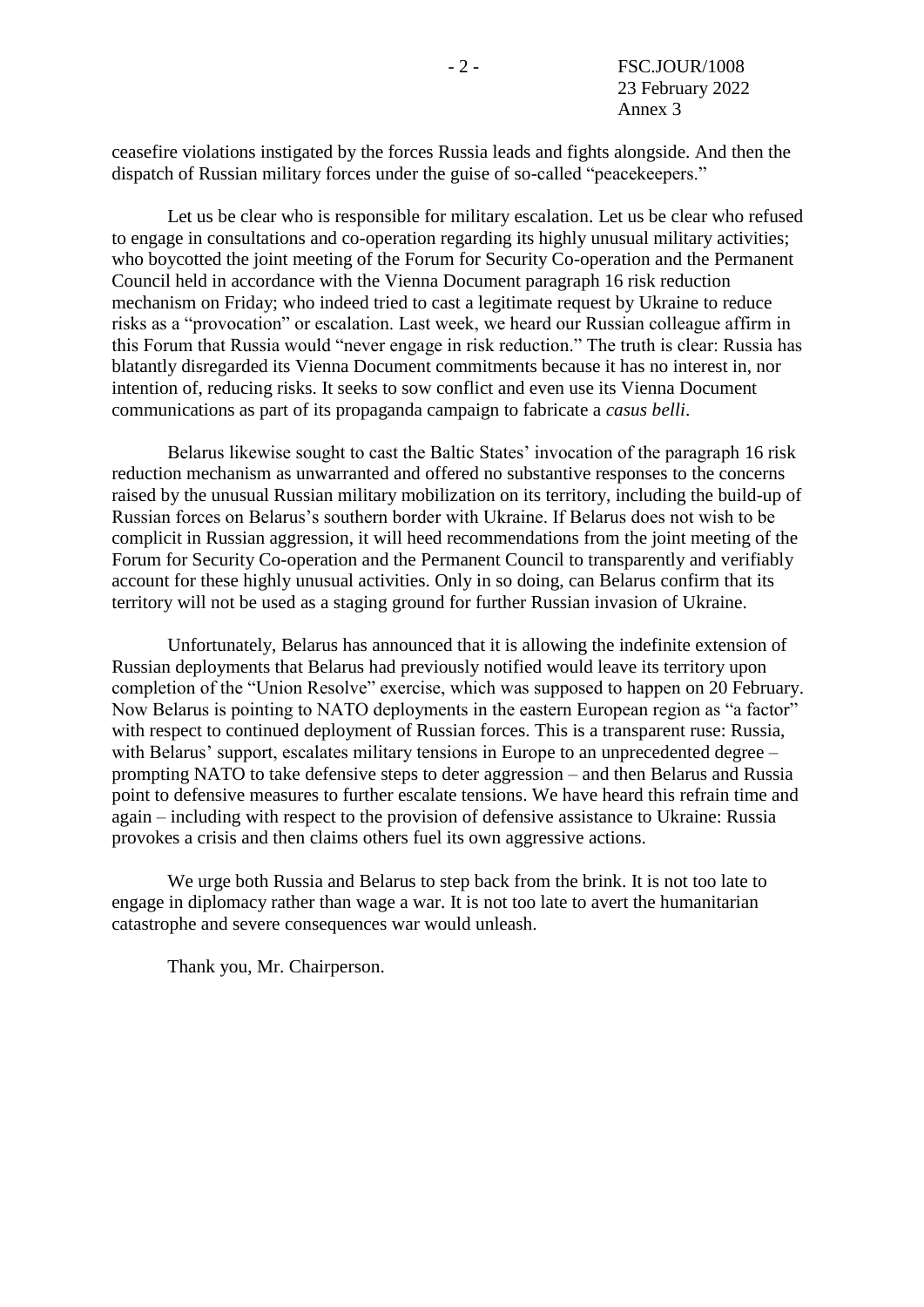ceasefire violations instigated by the forces Russia leads and fights alongside. And then the dispatch of Russian military forces under the guise of so-called "peacekeepers."

Let us be clear who is responsible for military escalation. Let us be clear who refused to engage in consultations and co-operation regarding its highly unusual military activities; who boycotted the joint meeting of the Forum for Security Co-operation and the Permanent Council held in accordance with the Vienna Document paragraph 16 risk reduction mechanism on Friday; who indeed tried to cast a legitimate request by Ukraine to reduce risks as a "provocation" or escalation. Last week, we heard our Russian colleague affirm in this Forum that Russia would "never engage in risk reduction." The truth is clear: Russia has blatantly disregarded its Vienna Document commitments because it has no interest in, nor intention of, reducing risks. It seeks to sow conflict and even use its Vienna Document communications as part of its propaganda campaign to fabricate a *casus belli*.

Belarus likewise sought to cast the Baltic States' invocation of the paragraph 16 risk reduction mechanism as unwarranted and offered no substantive responses to the concerns raised by the unusual Russian military mobilization on its territory, including the build-up of Russian forces on Belarus's southern border with Ukraine. If Belarus does not wish to be complicit in Russian aggression, it will heed recommendations from the joint meeting of the Forum for Security Co-operation and the Permanent Council to transparently and verifiably account for these highly unusual activities. Only in so doing, can Belarus confirm that its territory will not be used as a staging ground for further Russian invasion of Ukraine.

Unfortunately, Belarus has announced that it is allowing the indefinite extension of Russian deployments that Belarus had previously notified would leave its territory upon completion of the "Union Resolve" exercise, which was supposed to happen on 20 February. Now Belarus is pointing to NATO deployments in the eastern European region as "a factor" with respect to continued deployment of Russian forces. This is a transparent ruse: Russia, with Belarus' support, escalates military tensions in Europe to an unprecedented degree – prompting NATO to take defensive steps to deter aggression – and then Belarus and Russia point to defensive measures to further escalate tensions. We have heard this refrain time and again – including with respect to the provision of defensive assistance to Ukraine: Russia provokes a crisis and then claims others fuel its own aggressive actions.

We urge both Russia and Belarus to step back from the brink. It is not too late to engage in diplomacy rather than wage a war. It is not too late to avert the humanitarian catastrophe and severe consequences war would unleash.

Thank you, Mr. Chairperson.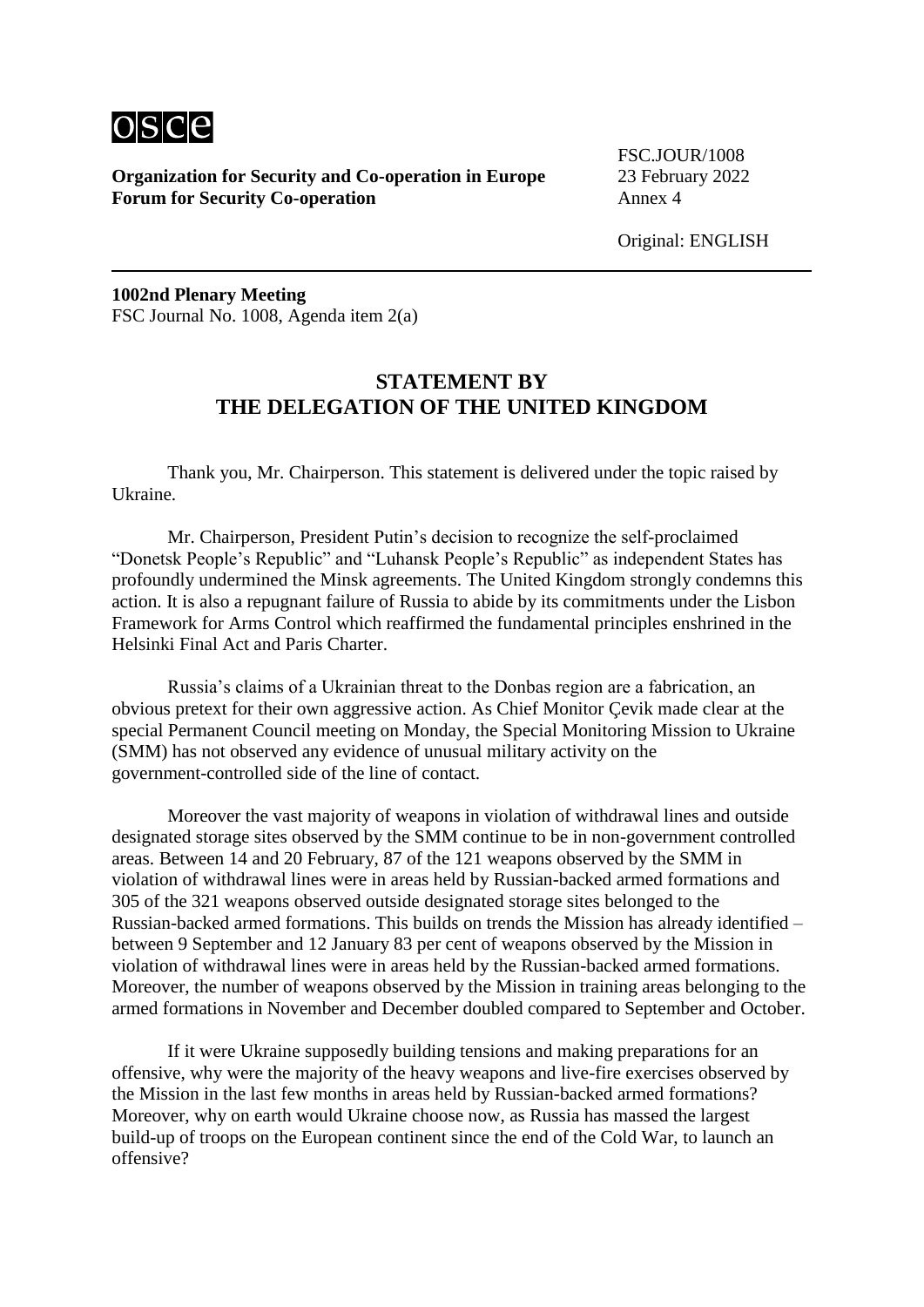

FSC.JOUR/1008

Original: ENGLISH

**1002nd Plenary Meeting** FSC Journal No. 1008, Agenda item 2(a)

#### **STATEMENT BY THE DELEGATION OF THE UNITED KINGDOM**

Thank you, Mr. Chairperson. This statement is delivered under the topic raised by Ukraine.

Mr. Chairperson, President Putin's decision to recognize the self-proclaimed "Donetsk People's Republic" and "Luhansk People's Republic" as independent States has profoundly undermined the Minsk agreements. The United Kingdom strongly condemns this action. It is also a repugnant failure of Russia to abide by its commitments under the Lisbon Framework for Arms Control which reaffirmed the fundamental principles enshrined in the Helsinki Final Act and Paris Charter.

Russia's claims of a Ukrainian threat to the Donbas region are a fabrication, an obvious pretext for their own aggressive action. As Chief Monitor Çevik made clear at the special Permanent Council meeting on Monday, the Special Monitoring Mission to Ukraine (SMM) has not observed any evidence of unusual military activity on the government-controlled side of the line of contact.

Moreover the vast majority of weapons in violation of withdrawal lines and outside designated storage sites observed by the SMM continue to be in non-government controlled areas. Between 14 and 20 February, 87 of the 121 weapons observed by the SMM in violation of withdrawal lines were in areas held by Russian-backed armed formations and 305 of the 321 weapons observed outside designated storage sites belonged to the Russian-backed armed formations. This builds on trends the Mission has already identified – between 9 September and 12 January 83 per cent of weapons observed by the Mission in violation of withdrawal lines were in areas held by the Russian-backed armed formations. Moreover, the number of weapons observed by the Mission in training areas belonging to the armed formations in November and December doubled compared to September and October.

If it were Ukraine supposedly building tensions and making preparations for an offensive, why were the majority of the heavy weapons and live-fire exercises observed by the Mission in the last few months in areas held by Russian-backed armed formations? Moreover, why on earth would Ukraine choose now, as Russia has massed the largest build-up of troops on the European continent since the end of the Cold War, to launch an offensive?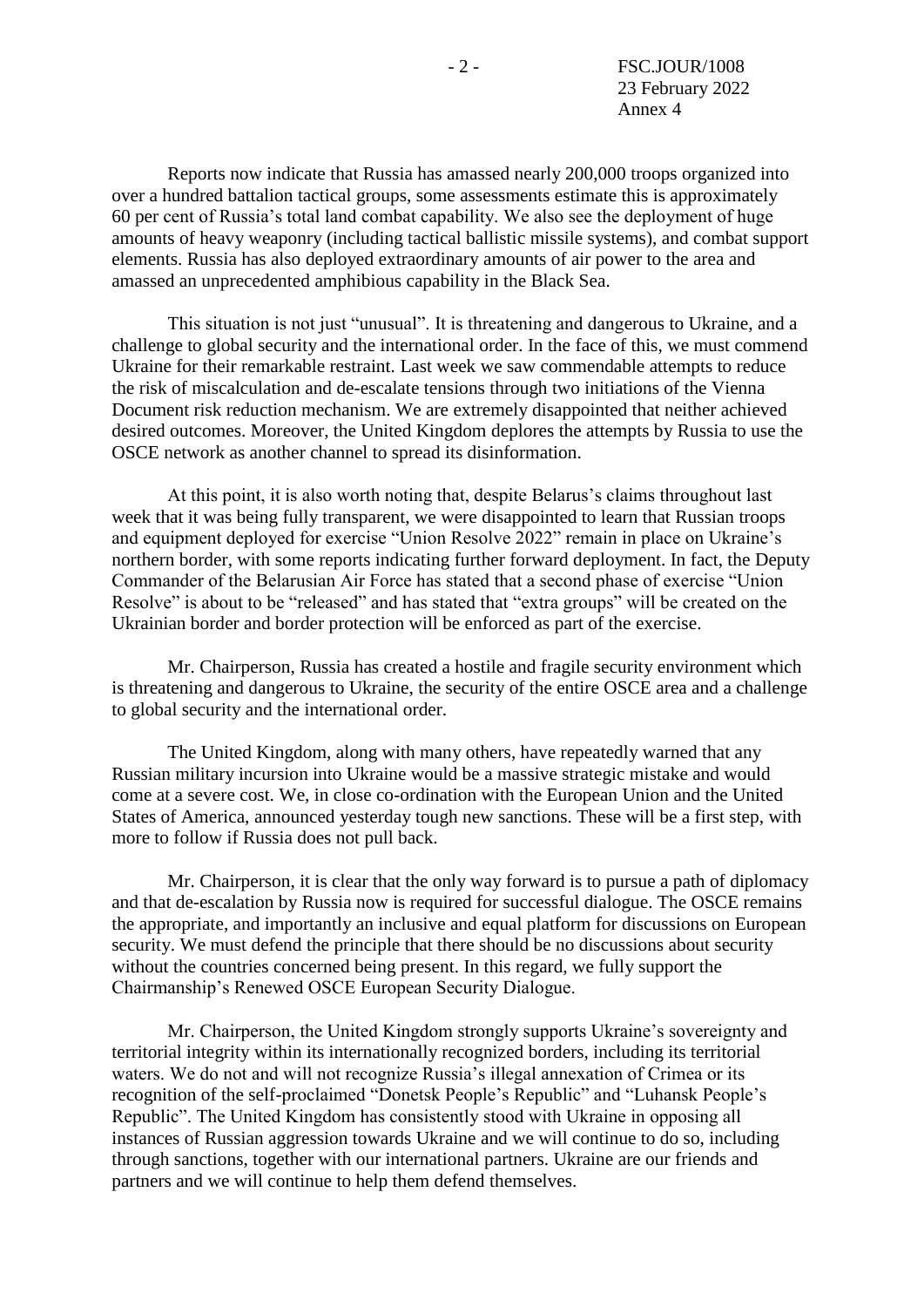Reports now indicate that Russia has amassed nearly 200,000 troops organized into over a hundred battalion tactical groups, some assessments estimate this is approximately 60 per cent of Russia's total land combat capability. We also see the deployment of huge amounts of heavy weaponry (including tactical ballistic missile systems), and combat support elements. Russia has also deployed extraordinary amounts of air power to the area and amassed an unprecedented amphibious capability in the Black Sea.

This situation is not just "unusual". It is threatening and dangerous to Ukraine, and a challenge to global security and the international order. In the face of this, we must commend Ukraine for their remarkable restraint. Last week we saw commendable attempts to reduce the risk of miscalculation and de-escalate tensions through two initiations of the Vienna Document risk reduction mechanism. We are extremely disappointed that neither achieved desired outcomes. Moreover, the United Kingdom deplores the attempts by Russia to use the OSCE network as another channel to spread its disinformation.

At this point, it is also worth noting that, despite Belarus's claims throughout last week that it was being fully transparent, we were disappointed to learn that Russian troops and equipment deployed for exercise "Union Resolve 2022" remain in place on Ukraine's northern border, with some reports indicating further forward deployment. In fact, the Deputy Commander of the Belarusian Air Force has stated that a second phase of exercise "Union Resolve" is about to be "released" and has stated that "extra groups" will be created on the Ukrainian border and border protection will be enforced as part of the exercise.

Mr. Chairperson, Russia has created a hostile and fragile security environment which is threatening and dangerous to Ukraine, the security of the entire OSCE area and a challenge to global security and the international order.

The United Kingdom, along with many others, have repeatedly warned that any Russian military incursion into Ukraine would be a massive strategic mistake and would come at a severe cost. We, in close co-ordination with the European Union and the United States of America, announced yesterday tough new sanctions. These will be a first step, with more to follow if Russia does not pull back.

Mr. Chairperson, it is clear that the only way forward is to pursue a path of diplomacy and that de-escalation by Russia now is required for successful dialogue. The OSCE remains the appropriate, and importantly an inclusive and equal platform for discussions on European security. We must defend the principle that there should be no discussions about security without the countries concerned being present. In this regard, we fully support the Chairmanship's Renewed OSCE European Security Dialogue.

Mr. Chairperson, the United Kingdom strongly supports Ukraine's sovereignty and territorial integrity within its internationally recognized borders, including its territorial waters. We do not and will not recognize Russia's illegal annexation of Crimea or its recognition of the self-proclaimed "Donetsk People's Republic" and "Luhansk People's Republic". The United Kingdom has consistently stood with Ukraine in opposing all instances of Russian aggression towards Ukraine and we will continue to do so, including through sanctions, together with our international partners. Ukraine are our friends and partners and we will continue to help them defend themselves.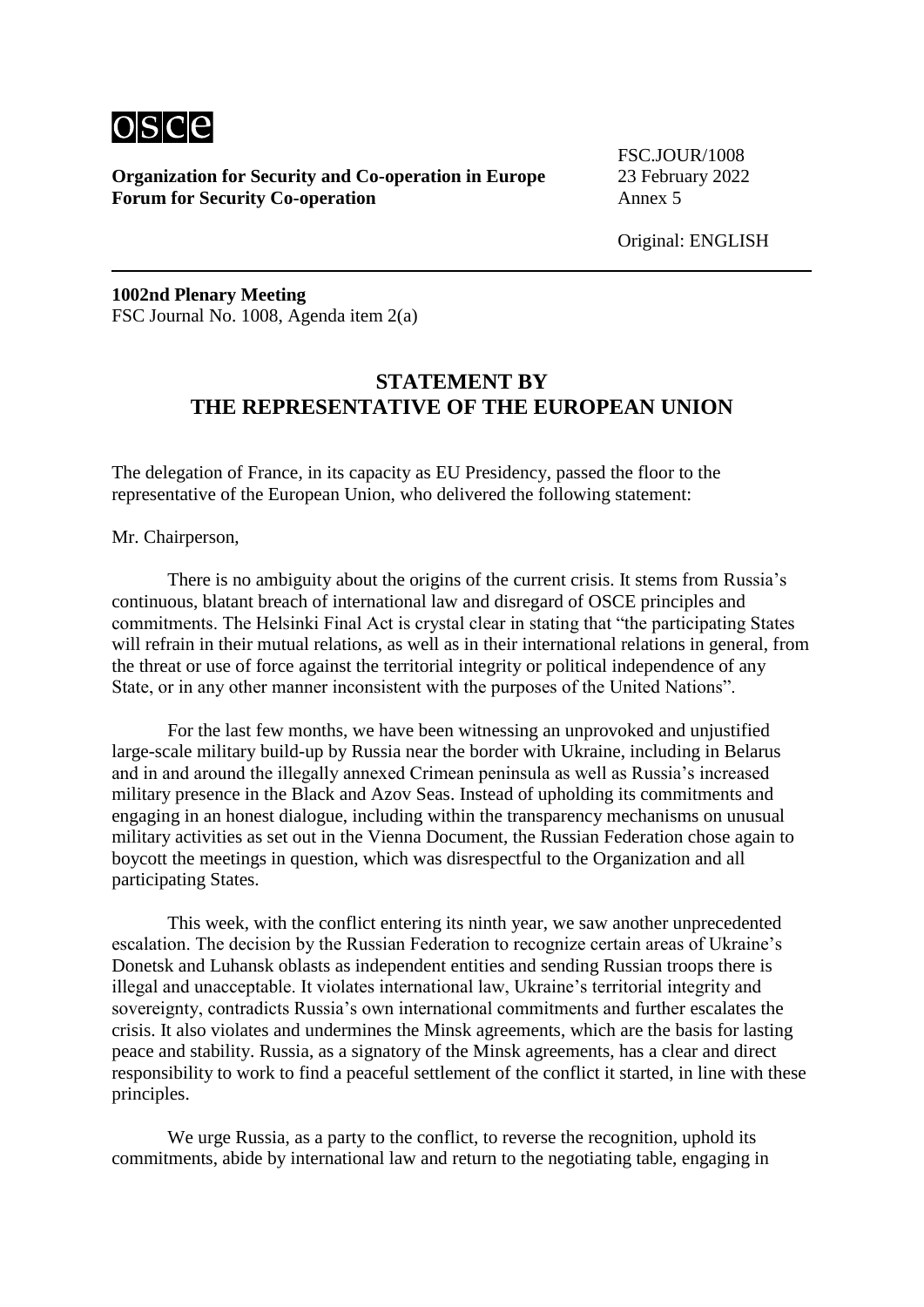

FSC.JOUR/1008

Original: ENGLISH

**1002nd Plenary Meeting** FSC Journal No. 1008, Agenda item 2(a)

#### **STATEMENT BY THE REPRESENTATIVE OF THE EUROPEAN UNION**

The delegation of France, in its capacity as EU Presidency, passed the floor to the representative of the European Union, who delivered the following statement:

Mr. Chairperson,

There is no ambiguity about the origins of the current crisis. It stems from Russia's continuous, blatant breach of international law and disregard of OSCE principles and commitments. The Helsinki Final Act is crystal clear in stating that "the participating States will refrain in their mutual relations, as well as in their international relations in general, from the threat or use of force against the territorial integrity or political independence of any State, or in any other manner inconsistent with the purposes of the United Nations".

For the last few months, we have been witnessing an unprovoked and unjustified large-scale military build-up by Russia near the border with Ukraine, including in Belarus and in and around the illegally annexed Crimean peninsula as well as Russia's increased military presence in the Black and Azov Seas. Instead of upholding its commitments and engaging in an honest dialogue, including within the transparency mechanisms on unusual military activities as set out in the Vienna Document, the Russian Federation chose again to boycott the meetings in question, which was disrespectful to the Organization and all participating States.

This week, with the conflict entering its ninth year, we saw another unprecedented escalation. The decision by the Russian Federation to recognize certain areas of Ukraine's Donetsk and Luhansk oblasts as independent entities and sending Russian troops there is illegal and unacceptable. It violates international law, Ukraine's territorial integrity and sovereignty, contradicts Russia's own international commitments and further escalates the crisis. It also violates and undermines the Minsk agreements, which are the basis for lasting peace and stability. Russia, as a signatory of the Minsk agreements, has a clear and direct responsibility to work to find a peaceful settlement of the conflict it started, in line with these principles.

We urge Russia, as a party to the conflict, to reverse the recognition, uphold its commitments, abide by international law and return to the negotiating table, engaging in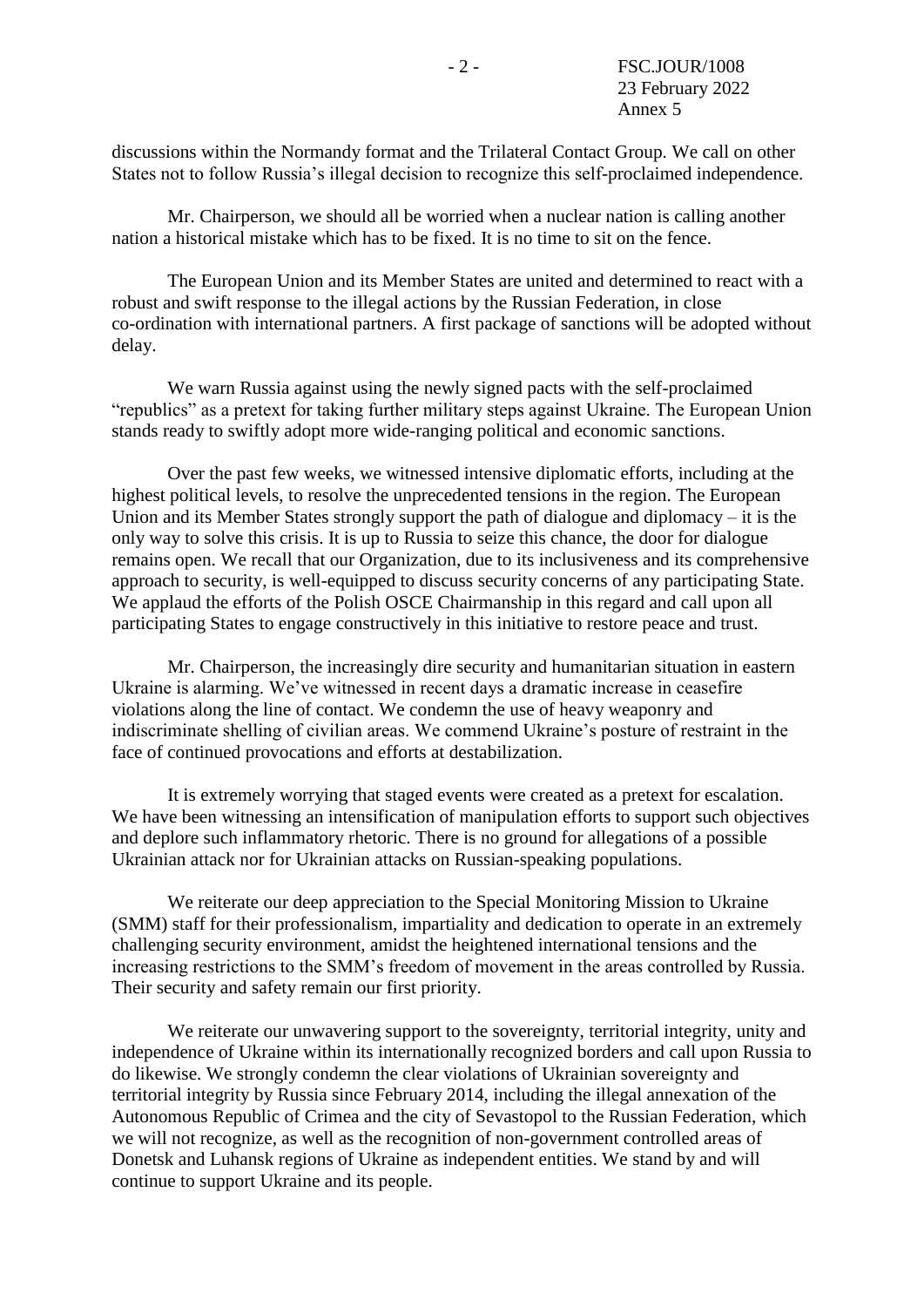discussions within the Normandy format and the Trilateral Contact Group. We call on other States not to follow Russia's illegal decision to recognize this self-proclaimed independence.

Mr. Chairperson, we should all be worried when a nuclear nation is calling another nation a historical mistake which has to be fixed. It is no time to sit on the fence.

The European Union and its Member States are united and determined to react with a robust and swift response to the illegal actions by the Russian Federation, in close co-ordination with international partners. A first package of sanctions will be adopted without delay.

We warn Russia against using the newly signed pacts with the self-proclaimed "republics" as a pretext for taking further military steps against Ukraine. The European Union stands ready to swiftly adopt more wide-ranging political and economic sanctions.

Over the past few weeks, we witnessed intensive diplomatic efforts, including at the highest political levels, to resolve the unprecedented tensions in the region. The European Union and its Member States strongly support the path of dialogue and diplomacy – it is the only way to solve this crisis. It is up to Russia to seize this chance, the door for dialogue remains open. We recall that our Organization, due to its inclusiveness and its comprehensive approach to security, is well-equipped to discuss security concerns of any participating State. We applaud the efforts of the Polish OSCE Chairmanship in this regard and call upon all participating States to engage constructively in this initiative to restore peace and trust.

Mr. Chairperson, the increasingly dire security and humanitarian situation in eastern Ukraine is alarming. We've witnessed in recent days a dramatic increase in ceasefire violations along the line of contact. We condemn the use of heavy weaponry and indiscriminate shelling of civilian areas. We commend Ukraine's posture of restraint in the face of continued provocations and efforts at destabilization.

It is extremely worrying that staged events were created as a pretext for escalation. We have been witnessing an intensification of manipulation efforts to support such objectives and deplore such inflammatory rhetoric. There is no ground for allegations of a possible Ukrainian attack nor for Ukrainian attacks on Russian-speaking populations.

We reiterate our deep appreciation to the Special Monitoring Mission to Ukraine (SMM) staff for their professionalism, impartiality and dedication to operate in an extremely challenging security environment, amidst the heightened international tensions and the increasing restrictions to the SMM's freedom of movement in the areas controlled by Russia. Their security and safety remain our first priority.

We reiterate our unwavering support to the sovereignty, territorial integrity, unity and independence of Ukraine within its internationally recognized borders and call upon Russia to do likewise. We strongly condemn the clear violations of Ukrainian sovereignty and territorial integrity by Russia since February 2014, including the illegal annexation of the Autonomous Republic of Crimea and the city of Sevastopol to the Russian Federation, which we will not recognize, as well as the recognition of non-government controlled areas of Donetsk and Luhansk regions of Ukraine as independent entities. We stand by and will continue to support Ukraine and its people.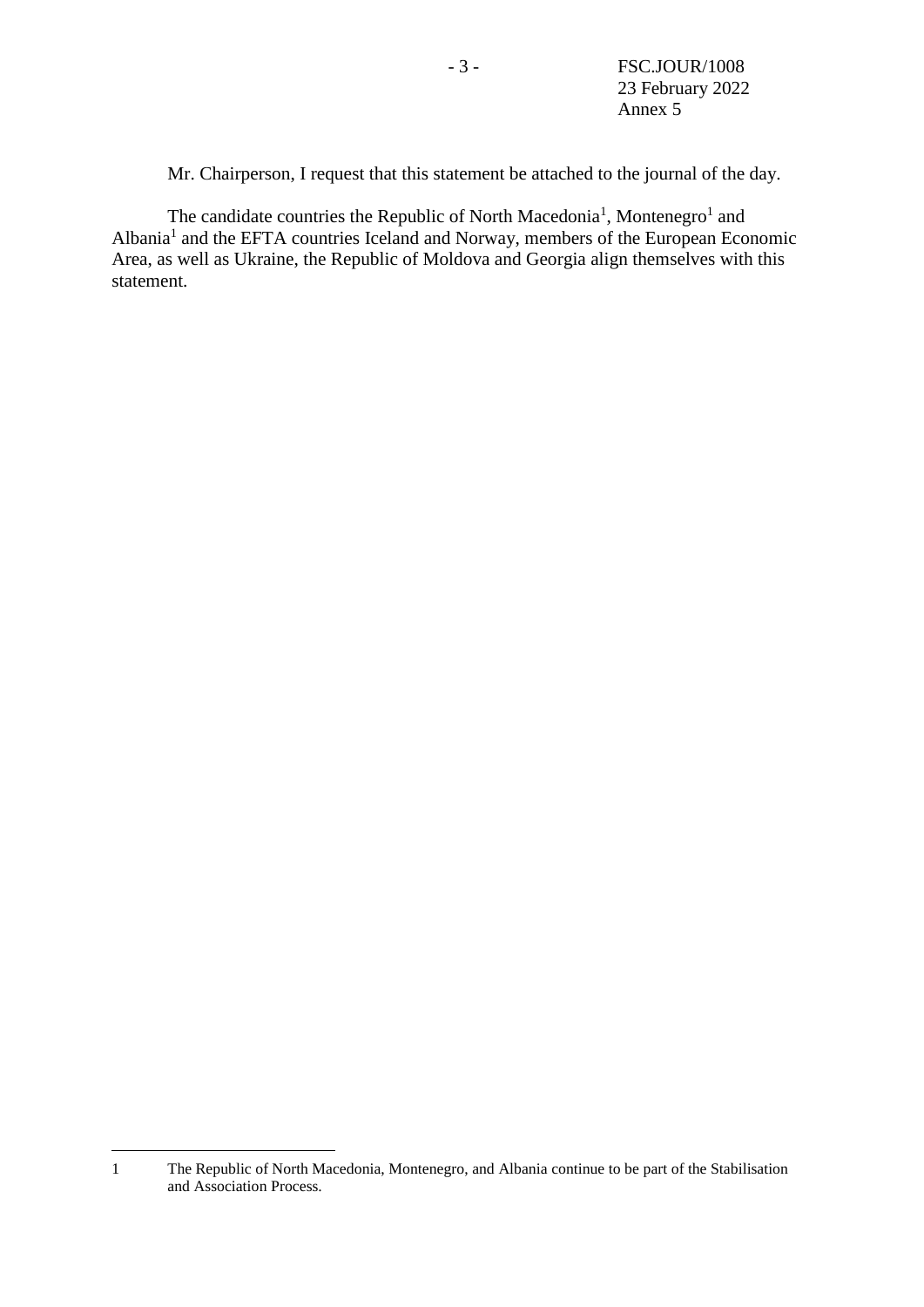<span id="page-13-0"></span>Mr. Chairperson, I request that this statement be attached to the journal of the day.

The candidate c[o](#page-13-0)untries the Republic of North Macedonia<sup>1</sup>, Montenegro<sup>1</sup> and Albania<sup>[1](#page-13-0)</sup> and the EFTA countries Iceland and Norway, members of the European Economic Area, as well as Ukraine, the Republic of Moldova and Georgia align themselves with this statement.

1

<sup>1</sup> The Republic of North Macedonia, Montenegro, and Albania continue to be part of the Stabilisation and Association Process.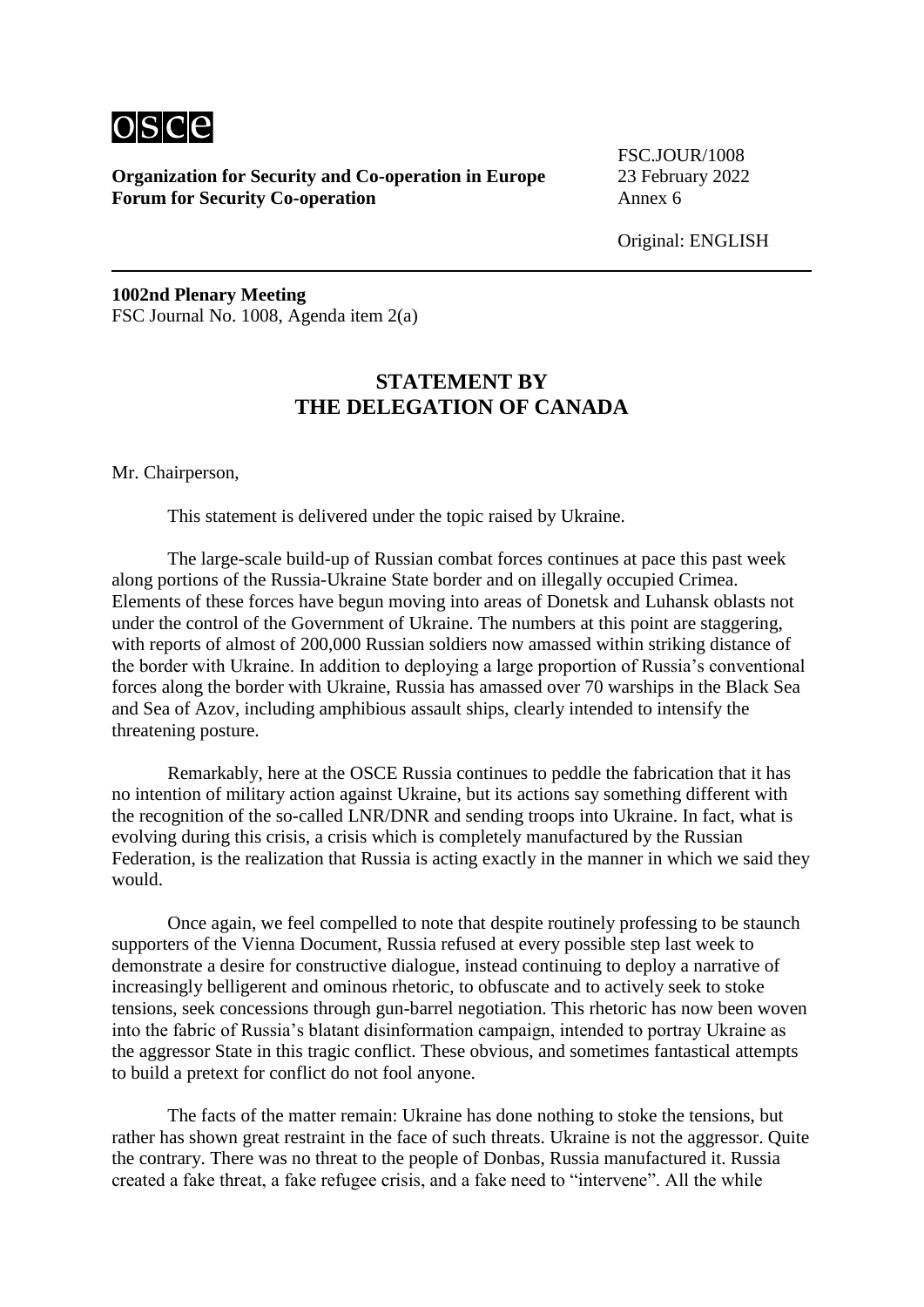

FSC.JOUR/1008

Original: ENGLISH

**1002nd Plenary Meeting** FSC Journal No. 1008, Agenda item 2(a)

# **STATEMENT BY THE DELEGATION OF CANADA**

Mr. Chairperson,

This statement is delivered under the topic raised by Ukraine.

The large-scale build-up of Russian combat forces continues at pace this past week along portions of the Russia-Ukraine State border and on illegally occupied Crimea. Elements of these forces have begun moving into areas of Donetsk and Luhansk oblasts not under the control of the Government of Ukraine. The numbers at this point are staggering, with reports of almost of 200,000 Russian soldiers now amassed within striking distance of the border with Ukraine. In addition to deploying a large proportion of Russia's conventional forces along the border with Ukraine, Russia has amassed over 70 warships in the Black Sea and Sea of Azov, including amphibious assault ships, clearly intended to intensify the threatening posture.

Remarkably, here at the OSCE Russia continues to peddle the fabrication that it has no intention of military action against Ukraine, but its actions say something different with the recognition of the so-called LNR/DNR and sending troops into Ukraine. In fact, what is evolving during this crisis, a crisis which is completely manufactured by the Russian Federation, is the realization that Russia is acting exactly in the manner in which we said they would.

Once again, we feel compelled to note that despite routinely professing to be staunch supporters of the Vienna Document, Russia refused at every possible step last week to demonstrate a desire for constructive dialogue, instead continuing to deploy a narrative of increasingly belligerent and ominous rhetoric, to obfuscate and to actively seek to stoke tensions, seek concessions through gun-barrel negotiation. This rhetoric has now been woven into the fabric of Russia's blatant disinformation campaign, intended to portray Ukraine as the aggressor State in this tragic conflict. These obvious, and sometimes fantastical attempts to build a pretext for conflict do not fool anyone.

The facts of the matter remain: Ukraine has done nothing to stoke the tensions, but rather has shown great restraint in the face of such threats. Ukraine is not the aggressor. Quite the contrary. There was no threat to the people of Donbas, Russia manufactured it. Russia created a fake threat, a fake refugee crisis, and a fake need to "intervene". All the while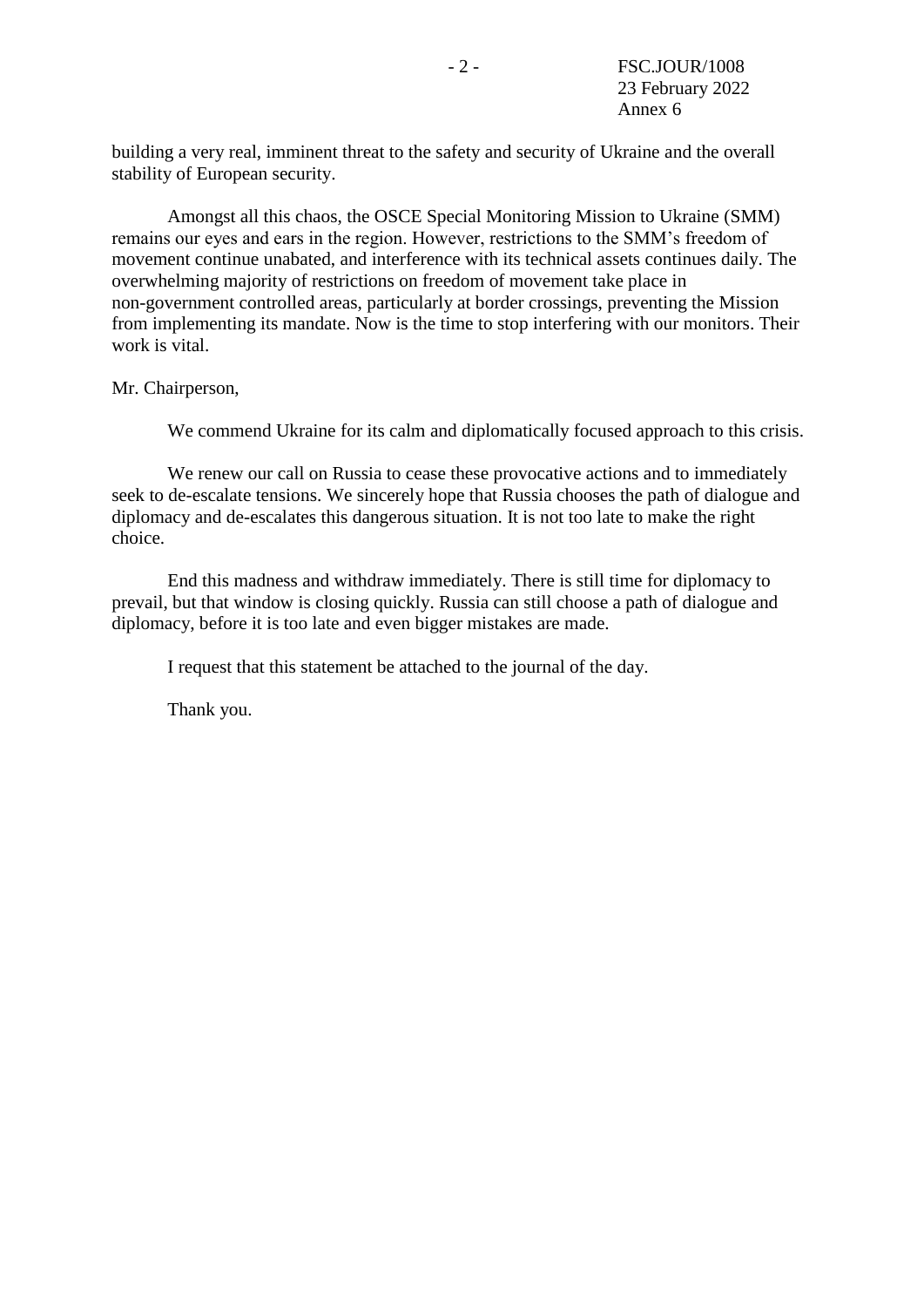building a very real, imminent threat to the safety and security of Ukraine and the overall stability of European security.

Amongst all this chaos, the OSCE Special Monitoring Mission to Ukraine (SMM) remains our eyes and ears in the region. However, restrictions to the SMM's freedom of movement continue unabated, and interference with its technical assets continues daily. The overwhelming majority of restrictions on freedom of movement take place in non-government controlled areas, particularly at border crossings, preventing the Mission from implementing its mandate. Now is the time to stop interfering with our monitors. Their work is vital.

Mr. Chairperson,

We commend Ukraine for its calm and diplomatically focused approach to this crisis.

We renew our call on Russia to cease these provocative actions and to immediately seek to de-escalate tensions. We sincerely hope that Russia chooses the path of dialogue and diplomacy and de-escalates this dangerous situation. It is not too late to make the right choice.

End this madness and withdraw immediately. There is still time for diplomacy to prevail, but that window is closing quickly. Russia can still choose a path of dialogue and diplomacy, before it is too late and even bigger mistakes are made.

I request that this statement be attached to the journal of the day.

Thank you.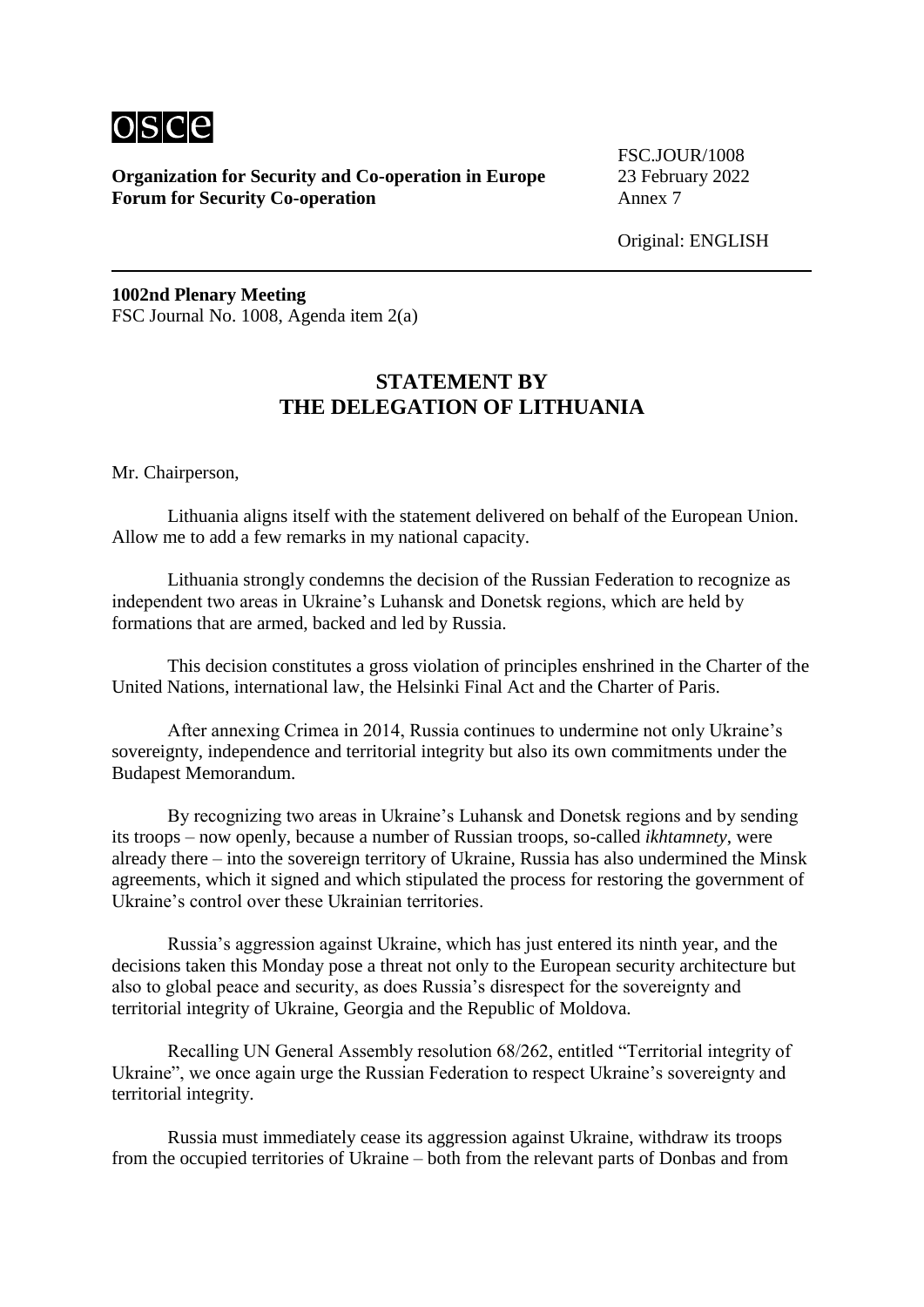

FSC.JOUR/1008

Original: ENGLISH

**1002nd Plenary Meeting** FSC Journal No. 1008, Agenda item 2(a)

# **STATEMENT BY THE DELEGATION OF LITHUANIA**

Mr. Chairperson,

Lithuania aligns itself with the statement delivered on behalf of the European Union. Allow me to add a few remarks in my national capacity.

Lithuania strongly condemns the decision of the Russian Federation to recognize as independent two areas in Ukraine's Luhansk and Donetsk regions, which are held by formations that are armed, backed and led by Russia.

This decision constitutes a gross violation of principles enshrined in the Charter of the United Nations, international law, the Helsinki Final Act and the Charter of Paris.

After annexing Crimea in 2014, Russia continues to undermine not only Ukraine's sovereignty, independence and territorial integrity but also its own commitments under the Budapest Memorandum.

By recognizing two areas in Ukraine's Luhansk and Donetsk regions and by sending its troops – now openly, because a number of Russian troops, so-called *ikhtamnety*, were already there – into the sovereign territory of Ukraine, Russia has also undermined the Minsk agreements, which it signed and which stipulated the process for restoring the government of Ukraine's control over these Ukrainian territories.

Russia's aggression against Ukraine, which has just entered its ninth year, and the decisions taken this Monday pose a threat not only to the European security architecture but also to global peace and security, as does Russia's disrespect for the sovereignty and territorial integrity of Ukraine, Georgia and the Republic of Moldova.

Recalling UN General Assembly resolution 68/262, entitled "Territorial integrity of Ukraine", we once again urge the Russian Federation to respect Ukraine's sovereignty and territorial integrity.

Russia must immediately cease its aggression against Ukraine, withdraw its troops from the occupied territories of Ukraine – both from the relevant parts of Donbas and from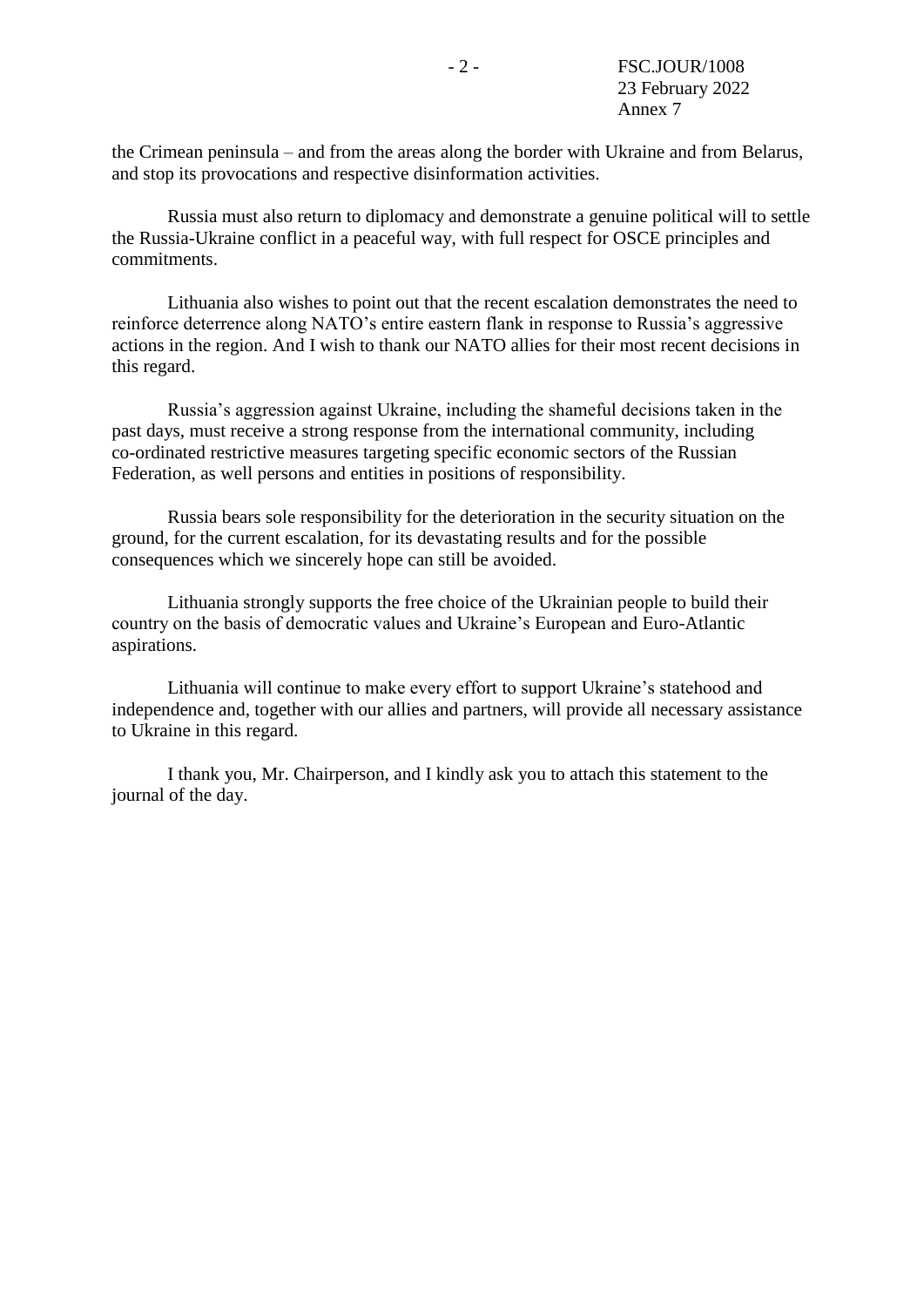the Crimean peninsula – and from the areas along the border with Ukraine and from Belarus, and stop its provocations and respective disinformation activities.

Russia must also return to diplomacy and demonstrate a genuine political will to settle the Russia-Ukraine conflict in a peaceful way, with full respect for OSCE principles and commitments.

Lithuania also wishes to point out that the recent escalation demonstrates the need to reinforce deterrence along NATO's entire eastern flank in response to Russia's aggressive actions in the region. And I wish to thank our NATO allies for their most recent decisions in this regard.

Russia's aggression against Ukraine, including the shameful decisions taken in the past days, must receive a strong response from the international community, including co-ordinated restrictive measures targeting specific economic sectors of the Russian Federation, as well persons and entities in positions of responsibility.

Russia bears sole responsibility for the deterioration in the security situation on the ground, for the current escalation, for its devastating results and for the possible consequences which we sincerely hope can still be avoided.

Lithuania strongly supports the free choice of the Ukrainian people to build their country on the basis of democratic values and Ukraine's European and Euro-Atlantic aspirations.

Lithuania will continue to make every effort to support Ukraine's statehood and independence and, together with our allies and partners, will provide all necessary assistance to Ukraine in this regard.

I thank you, Mr. Chairperson, and I kindly ask you to attach this statement to the journal of the day.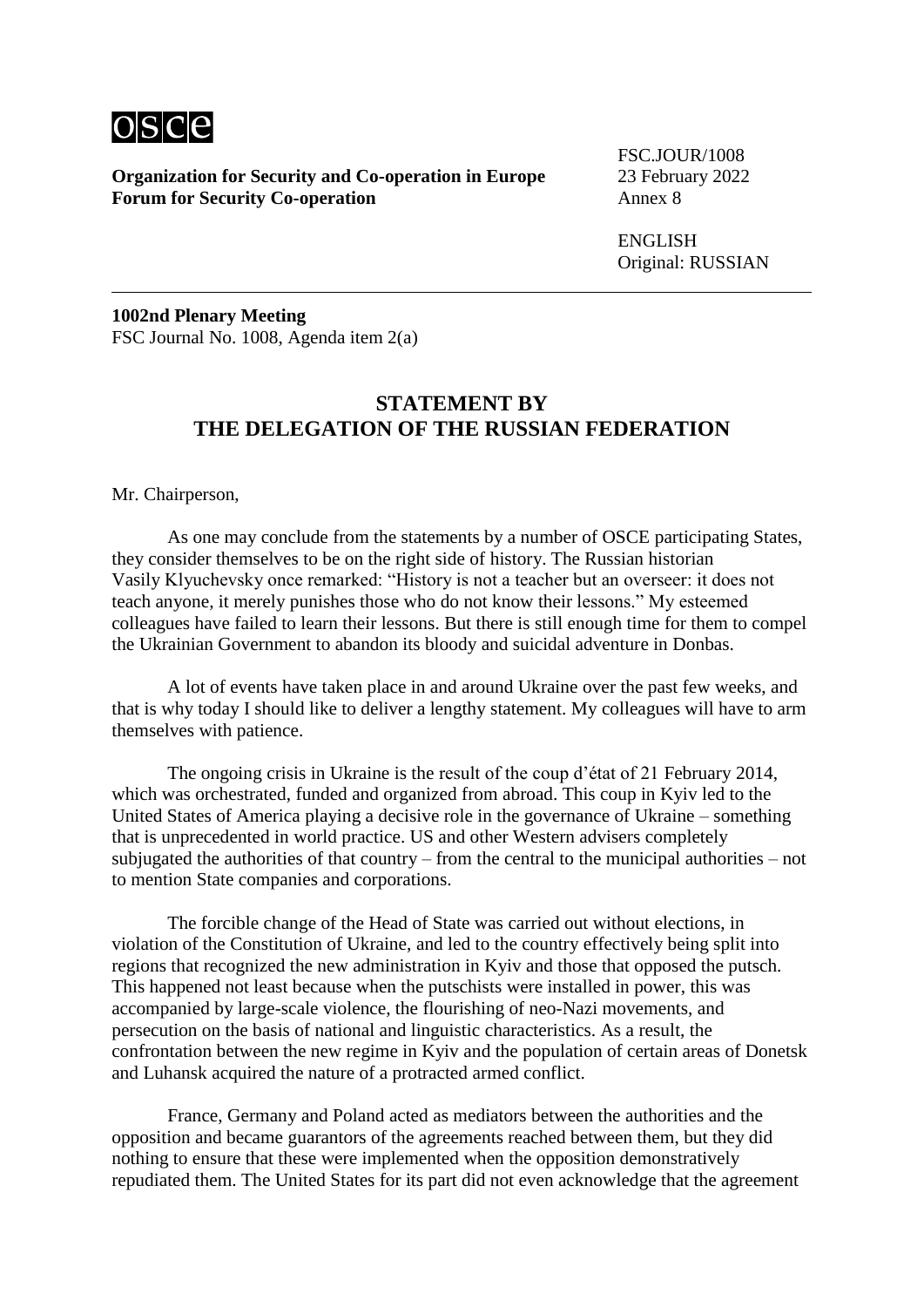

FSC.JOUR/1008

ENGLISH Original: RUSSIAN

**1002nd Plenary Meeting** FSC Journal No. 1008, Agenda item 2(a)

#### **STATEMENT BY THE DELEGATION OF THE RUSSIAN FEDERATION**

Mr. Chairperson,

As one may conclude from the statements by a number of OSCE participating States, they consider themselves to be on the right side of history. The Russian historian Vasily Klyuchevsky once remarked: "History is not a teacher but an overseer: it does not teach anyone, it merely punishes those who do not know their lessons." My esteemed colleagues have failed to learn their lessons. But there is still enough time for them to compel the Ukrainian Government to abandon its bloody and suicidal adventure in Donbas.

A lot of events have taken place in and around Ukraine over the past few weeks, and that is why today I should like to deliver a lengthy statement. My colleagues will have to arm themselves with patience.

The ongoing crisis in Ukraine is the result of the coup d'état of 21 February 2014, which was orchestrated, funded and organized from abroad. This coup in Kyiv led to the United States of America playing a decisive role in the governance of Ukraine – something that is unprecedented in world practice. US and other Western advisers completely subjugated the authorities of that country – from the central to the municipal authorities – not to mention State companies and corporations.

The forcible change of the Head of State was carried out without elections, in violation of the Constitution of Ukraine, and led to the country effectively being split into regions that recognized the new administration in Kyiv and those that opposed the putsch. This happened not least because when the putschists were installed in power, this was accompanied by large-scale violence, the flourishing of neo-Nazi movements, and persecution on the basis of national and linguistic characteristics. As a result, the confrontation between the new regime in Kyiv and the population of certain areas of Donetsk and Luhansk acquired the nature of a protracted armed conflict.

France, Germany and Poland acted as mediators between the authorities and the opposition and became guarantors of the agreements reached between them, but they did nothing to ensure that these were implemented when the opposition demonstratively repudiated them. The United States for its part did not even acknowledge that the agreement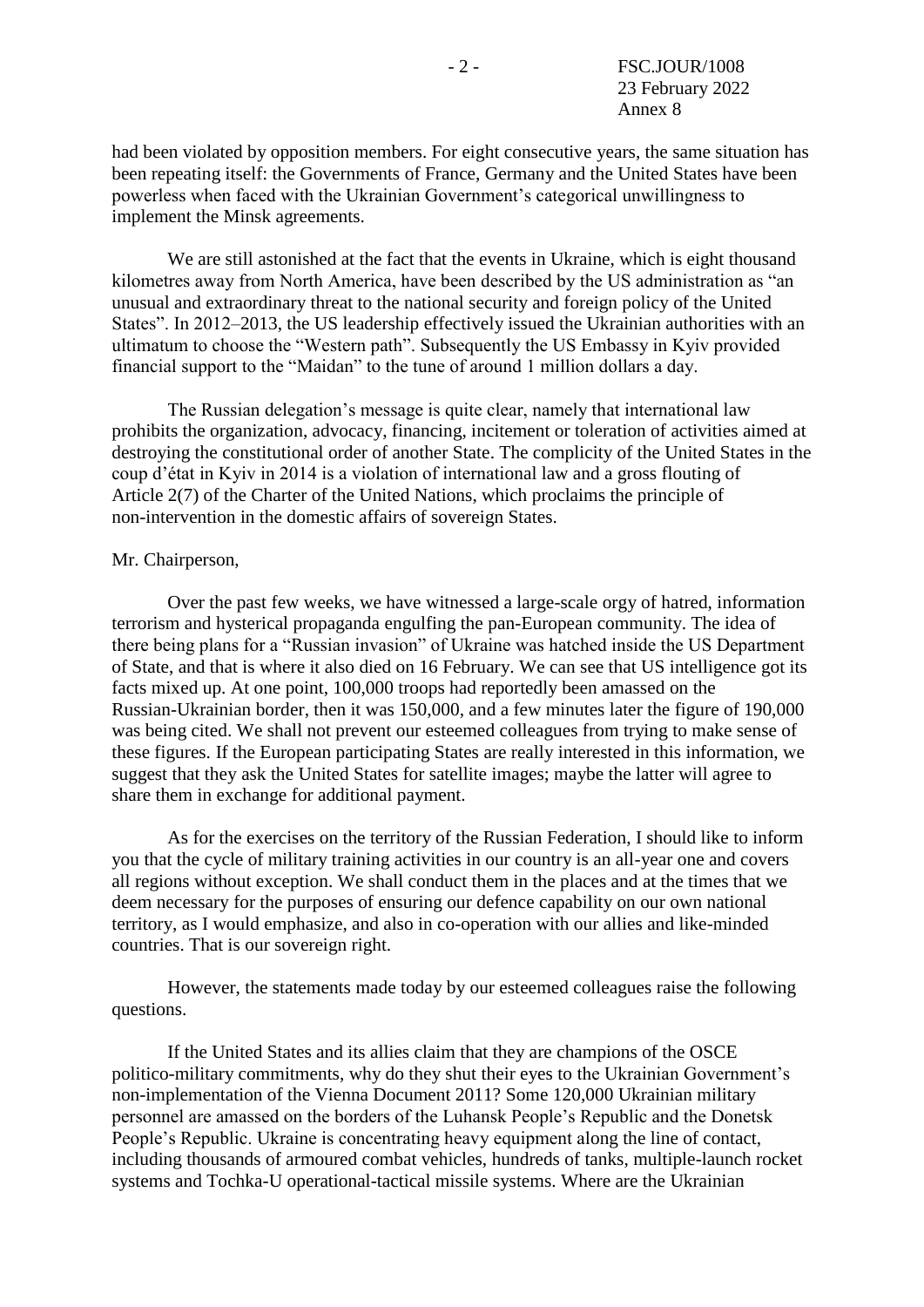had been violated by opposition members. For eight consecutive years, the same situation has been repeating itself: the Governments of France, Germany and the United States have been powerless when faced with the Ukrainian Government's categorical unwillingness to implement the Minsk agreements.

We are still astonished at the fact that the events in Ukraine, which is eight thousand kilometres away from North America, have been described by the US administration as "an unusual and extraordinary threat to the national security and foreign policy of the United States". In 2012–2013, the US leadership effectively issued the Ukrainian authorities with an ultimatum to choose the "Western path". Subsequently the US Embassy in Kyiv provided financial support to the "Maidan" to the tune of around 1 million dollars a day.

The Russian delegation's message is quite clear, namely that international law prohibits the organization, advocacy, financing, incitement or toleration of activities aimed at destroying the constitutional order of another State. The complicity of the United States in the coup d'état in Kyiv in 2014 is a violation of international law and a gross flouting of Article 2(7) of the Charter of the United Nations, which proclaims the principle of non-intervention in the domestic affairs of sovereign States.

#### Mr. Chairperson,

Over the past few weeks, we have witnessed a large-scale orgy of hatred, information terrorism and hysterical propaganda engulfing the pan-European community. The idea of there being plans for a "Russian invasion" of Ukraine was hatched inside the US Department of State, and that is where it also died on 16 February. We can see that US intelligence got its facts mixed up. At one point, 100,000 troops had reportedly been amassed on the Russian-Ukrainian border, then it was 150,000, and a few minutes later the figure of 190,000 was being cited. We shall not prevent our esteemed colleagues from trying to make sense of these figures. If the European participating States are really interested in this information, we suggest that they ask the United States for satellite images; maybe the latter will agree to share them in exchange for additional payment.

As for the exercises on the territory of the Russian Federation, I should like to inform you that the cycle of military training activities in our country is an all-year one and covers all regions without exception. We shall conduct them in the places and at the times that we deem necessary for the purposes of ensuring our defence capability on our own national territory, as I would emphasize, and also in co-operation with our allies and like-minded countries. That is our sovereign right.

However, the statements made today by our esteemed colleagues raise the following questions.

If the United States and its allies claim that they are champions of the OSCE politico-military commitments, why do they shut their eyes to the Ukrainian Government's non-implementation of the Vienna Document 2011? Some 120,000 Ukrainian military personnel are amassed on the borders of the Luhansk People's Republic and the Donetsk People's Republic. Ukraine is concentrating heavy equipment along the line of contact, including thousands of armoured combat vehicles, hundreds of tanks, multiple-launch rocket systems and Tochka-U operational-tactical missile systems. Where are the Ukrainian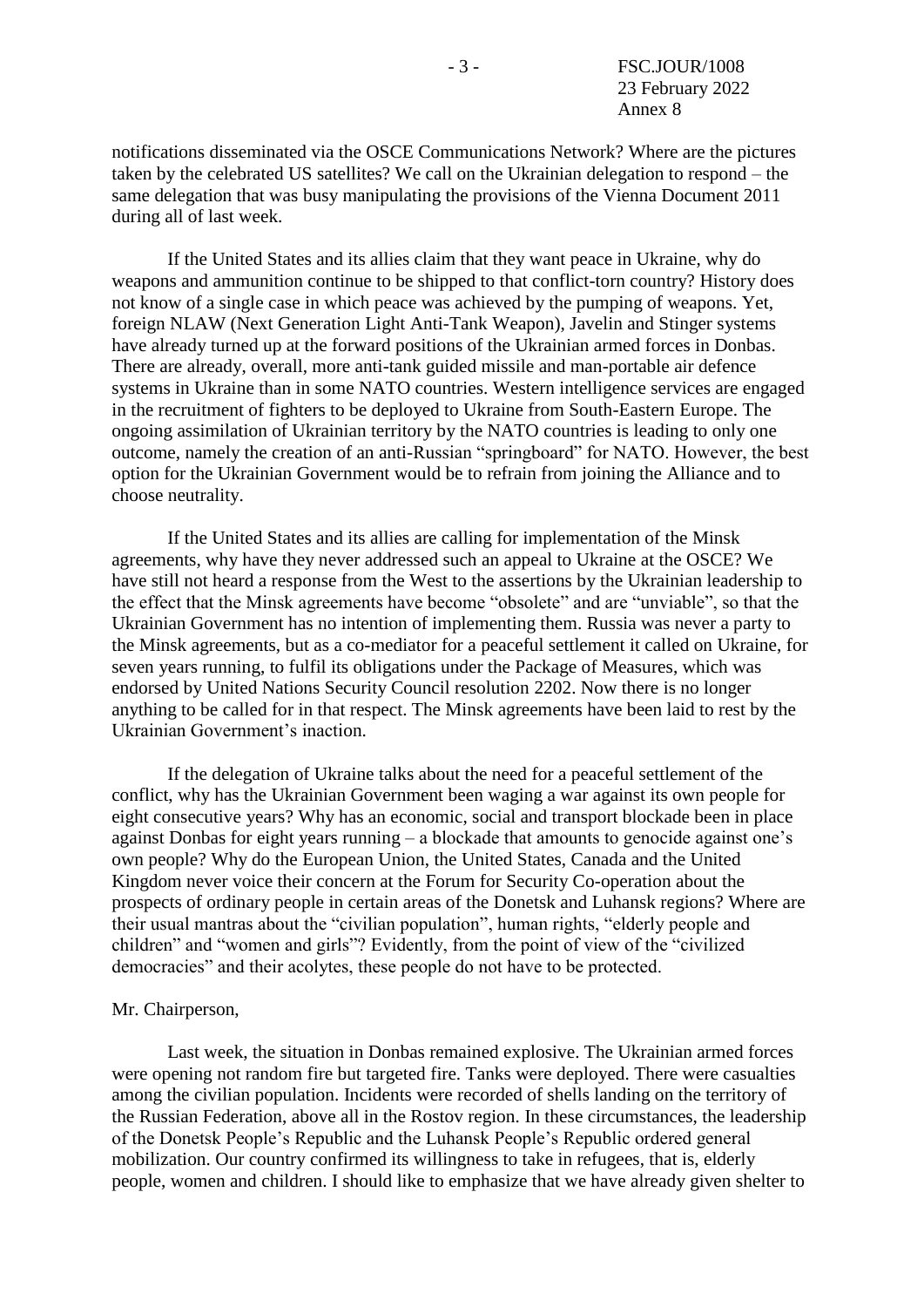notifications disseminated via the OSCE Communications Network? Where are the pictures taken by the celebrated US satellites? We call on the Ukrainian delegation to respond – the same delegation that was busy manipulating the provisions of the Vienna Document 2011 during all of last week.

If the United States and its allies claim that they want peace in Ukraine, why do weapons and ammunition continue to be shipped to that conflict-torn country? History does not know of a single case in which peace was achieved by the pumping of weapons. Yet, foreign NLAW (Next Generation Light Anti-Tank Weapon), Javelin and Stinger systems have already turned up at the forward positions of the Ukrainian armed forces in Donbas. There are already, overall, more anti-tank guided missile and man-portable air defence systems in Ukraine than in some NATO countries. Western intelligence services are engaged in the recruitment of fighters to be deployed to Ukraine from South-Eastern Europe. The ongoing assimilation of Ukrainian territory by the NATO countries is leading to only one outcome, namely the creation of an anti-Russian "springboard" for NATO. However, the best option for the Ukrainian Government would be to refrain from joining the Alliance and to choose neutrality.

If the United States and its allies are calling for implementation of the Minsk agreements, why have they never addressed such an appeal to Ukraine at the OSCE? We have still not heard a response from the West to the assertions by the Ukrainian leadership to the effect that the Minsk agreements have become "obsolete" and are "unviable", so that the Ukrainian Government has no intention of implementing them. Russia was never a party to the Minsk agreements, but as a co-mediator for a peaceful settlement it called on Ukraine, for seven years running, to fulfil its obligations under the Package of Measures, which was endorsed by United Nations Security Council resolution 2202. Now there is no longer anything to be called for in that respect. The Minsk agreements have been laid to rest by the Ukrainian Government's inaction.

If the delegation of Ukraine talks about the need for a peaceful settlement of the conflict, why has the Ukrainian Government been waging a war against its own people for eight consecutive years? Why has an economic, social and transport blockade been in place against Donbas for eight years running – a blockade that amounts to genocide against one's own people? Why do the European Union, the United States, Canada and the United Kingdom never voice their concern at the Forum for Security Co-operation about the prospects of ordinary people in certain areas of the Donetsk and Luhansk regions? Where are their usual mantras about the "civilian population", human rights, "elderly people and children" and "women and girls"? Evidently, from the point of view of the "civilized democracies" and their acolytes, these people do not have to be protected.

#### Mr. Chairperson,

Last week, the situation in Donbas remained explosive. The Ukrainian armed forces were opening not random fire but targeted fire. Tanks were deployed. There were casualties among the civilian population. Incidents were recorded of shells landing on the territory of the Russian Federation, above all in the Rostov region. In these circumstances, the leadership of the Donetsk People's Republic and the Luhansk People's Republic ordered general mobilization. Our country confirmed its willingness to take in refugees, that is, elderly people, women and children. I should like to emphasize that we have already given shelter to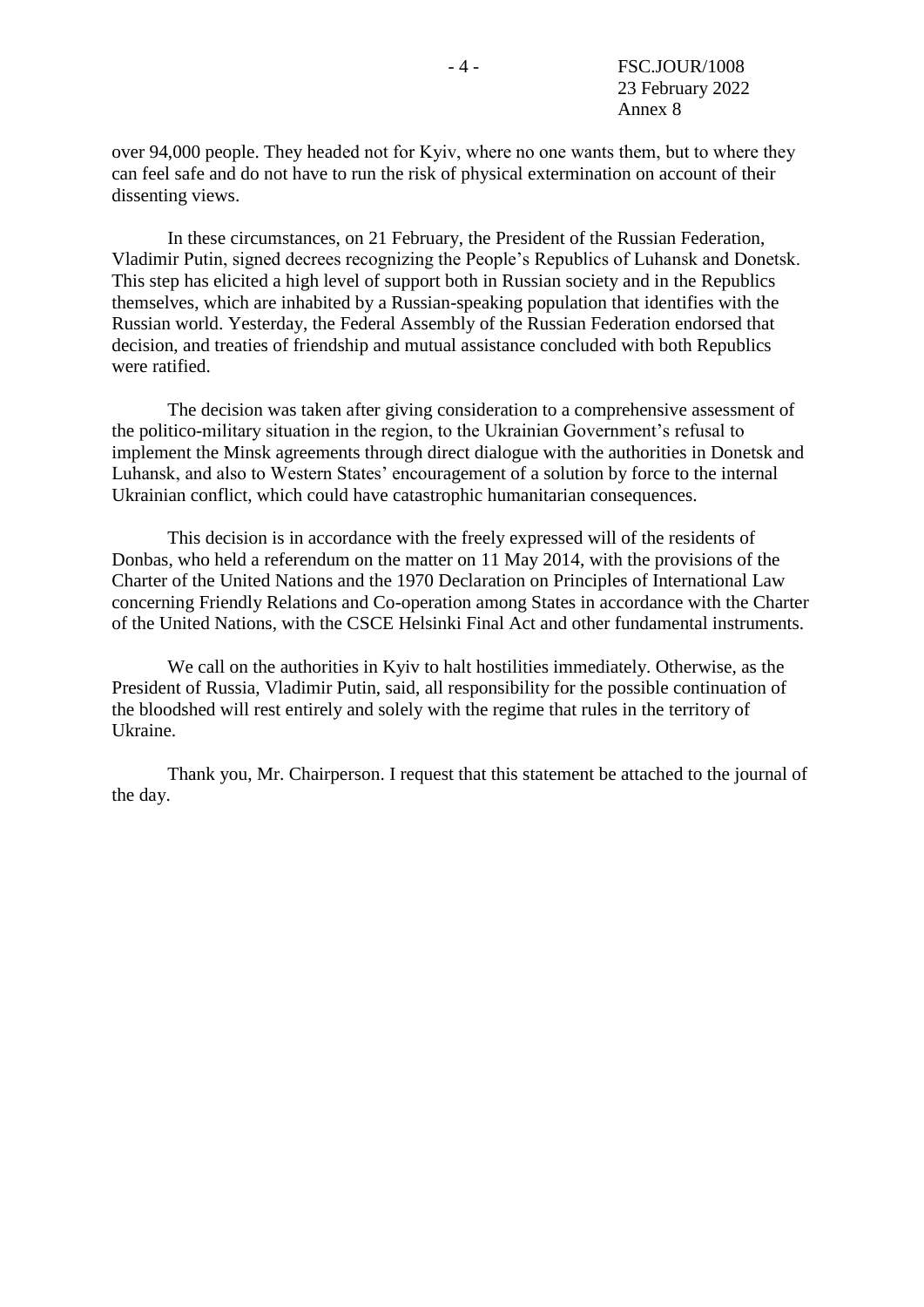over 94,000 people. They headed not for Kyiv, where no one wants them, but tо where they can feel safe and do not have to run the risk of physical extermination on account of their dissenting views.

In these circumstances, on 21 February, the President of the Russian Federation, Vladimir Putin, signed decrees recognizing the People's Republics of Luhansk and Donetsk. This step has elicited a high level of support both in Russian society and in the Republics themselves, which are inhabited by a Russian-speaking population that identifies with the Russian world. Yesterday, the Federal Assembly of the Russian Federation endorsed that decision, and treaties of friendship and mutual assistance concluded with both Republics were ratified.

The decision was taken after giving consideration to a comprehensive assessment of the politico-military situation in the region, to the Ukrainian Government's refusal to implement the Minsk agreements through direct dialogue with the authorities in Donetsk and Luhansk, and also to Western States' encouragement of a solution by force to the internal Ukrainian conflict, which could have catastrophic humanitarian consequences.

This decision is in accordance with the freely expressed will of the residents of Donbas, who held a referendum on the matter on 11 May 2014, with the provisions of the Charter of the United Nations and the 1970 Declaration on Principles of International Law concerning Friendly Relations and Co-operation among States in accordance with the Charter of the United Nations, with the CSCE Helsinki Final Act and other fundamental instruments.

We call on the authorities in Kyiv to halt hostilities immediately. Otherwise, as the President of Russia, Vladimir Putin, said, all responsibility for the possible continuation of the bloodshed will rest entirely and solely with the regime that rules in the territory of Ukraine.

Thank you, Mr. Chairperson. I request that this statement be attached to the journal of the day.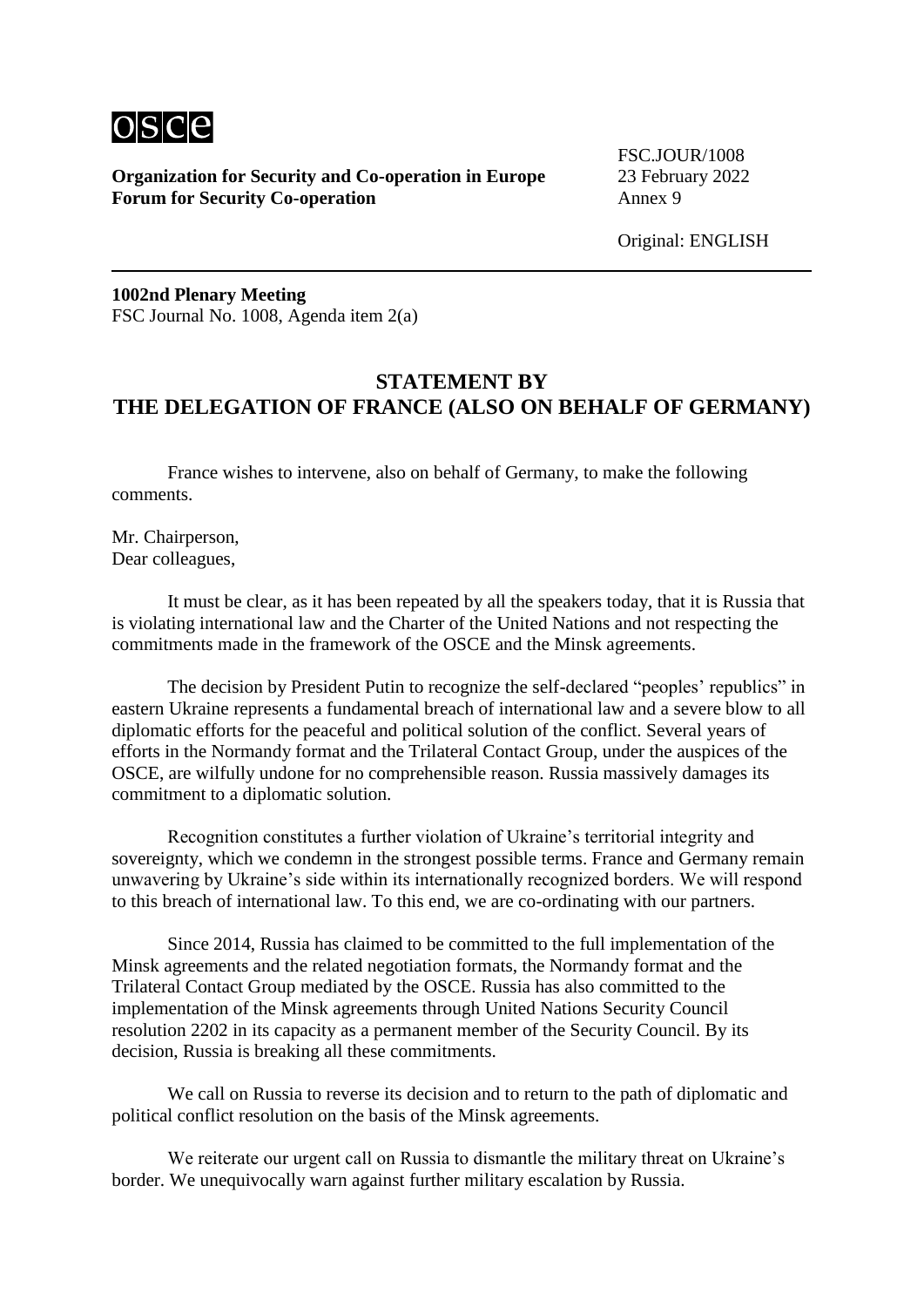

FSC.JOUR/1008

Original: ENGLISH

**1002nd Plenary Meeting** FSC Journal No. 1008, Agenda item 2(a)

# **STATEMENT BY THE DELEGATION OF FRANCE (ALSO ON BEHALF OF GERMANY)**

France wishes to intervene, also on behalf of Germany, to make the following comments.

Mr. Chairperson, Dear colleagues,

It must be clear, as it has been repeated by all the speakers today, that it is Russia that is violating international law and the Charter of the United Nations and not respecting the commitments made in the framework of the OSCE and the Minsk agreements.

The decision by President Putin to recognize the self-declared "peoples' republics" in eastern Ukraine represents a fundamental breach of international law and a severe blow to all diplomatic efforts for the peaceful and political solution of the conflict. Several years of efforts in the Normandy format and the Trilateral Contact Group, under the auspices of the OSCE, are wilfully undone for no comprehensible reason. Russia massively damages its commitment to a diplomatic solution.

Recognition constitutes a further violation of Ukraine's territorial integrity and sovereignty, which we condemn in the strongest possible terms. France and Germany remain unwavering by Ukraine's side within its internationally recognized borders. We will respond to this breach of international law. To this end, we are co-ordinating with our partners.

Since 2014, Russia has claimed to be committed to the full implementation of the Minsk agreements and the related negotiation formats, the Normandy format and the Trilateral Contact Group mediated by the OSCE. Russia has also committed to the implementation of the Minsk agreements through United Nations Security Council resolution 2202 in its capacity as a permanent member of the Security Council. By its decision, Russia is breaking all these commitments.

We call on Russia to reverse its decision and to return to the path of diplomatic and political conflict resolution on the basis of the Minsk agreements.

We reiterate our urgent call on Russia to dismantle the military threat on Ukraine's border. We unequivocally warn against further military escalation by Russia.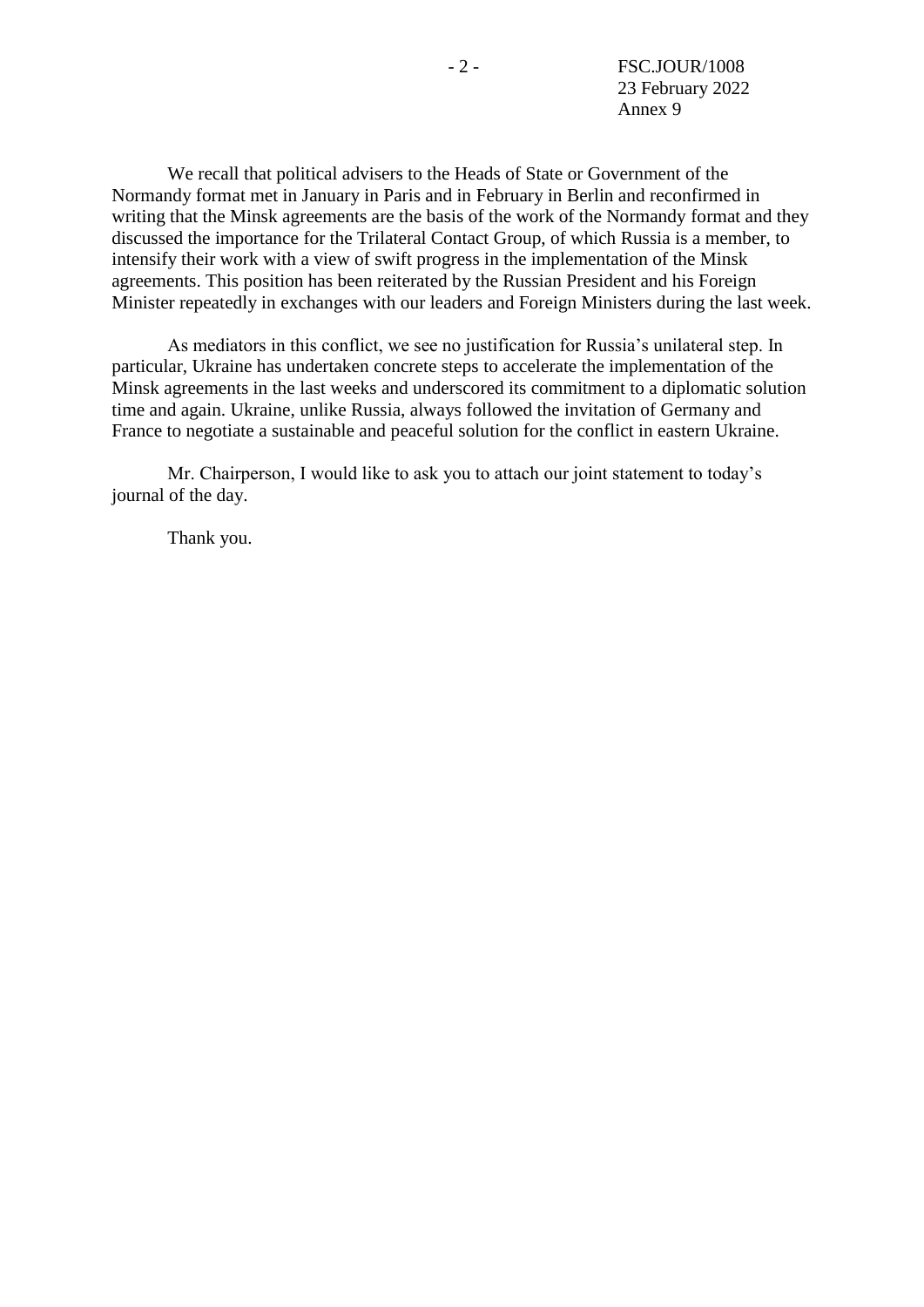We recall that political advisers to the Heads of State or Government of the Normandy format met in January in Paris and in February in Berlin and reconfirmed in writing that the Minsk agreements are the basis of the work of the Normandy format and they discussed the importance for the Trilateral Contact Group, of which Russia is a member, to intensify their work with a view of swift progress in the implementation of the Minsk agreements. This position has been reiterated by the Russian President and his Foreign Minister repeatedly in exchanges with our leaders and Foreign Ministers during the last week.

As mediators in this conflict, we see no justification for Russia's unilateral step. In particular, Ukraine has undertaken concrete steps to accelerate the implementation of the Minsk agreements in the last weeks and underscored its commitment to a diplomatic solution time and again. Ukraine, unlike Russia, always followed the invitation of Germany and France to negotiate a sustainable and peaceful solution for the conflict in eastern Ukraine.

Mr. Chairperson, I would like to ask you to attach our joint statement to today's journal of the day.

Thank you.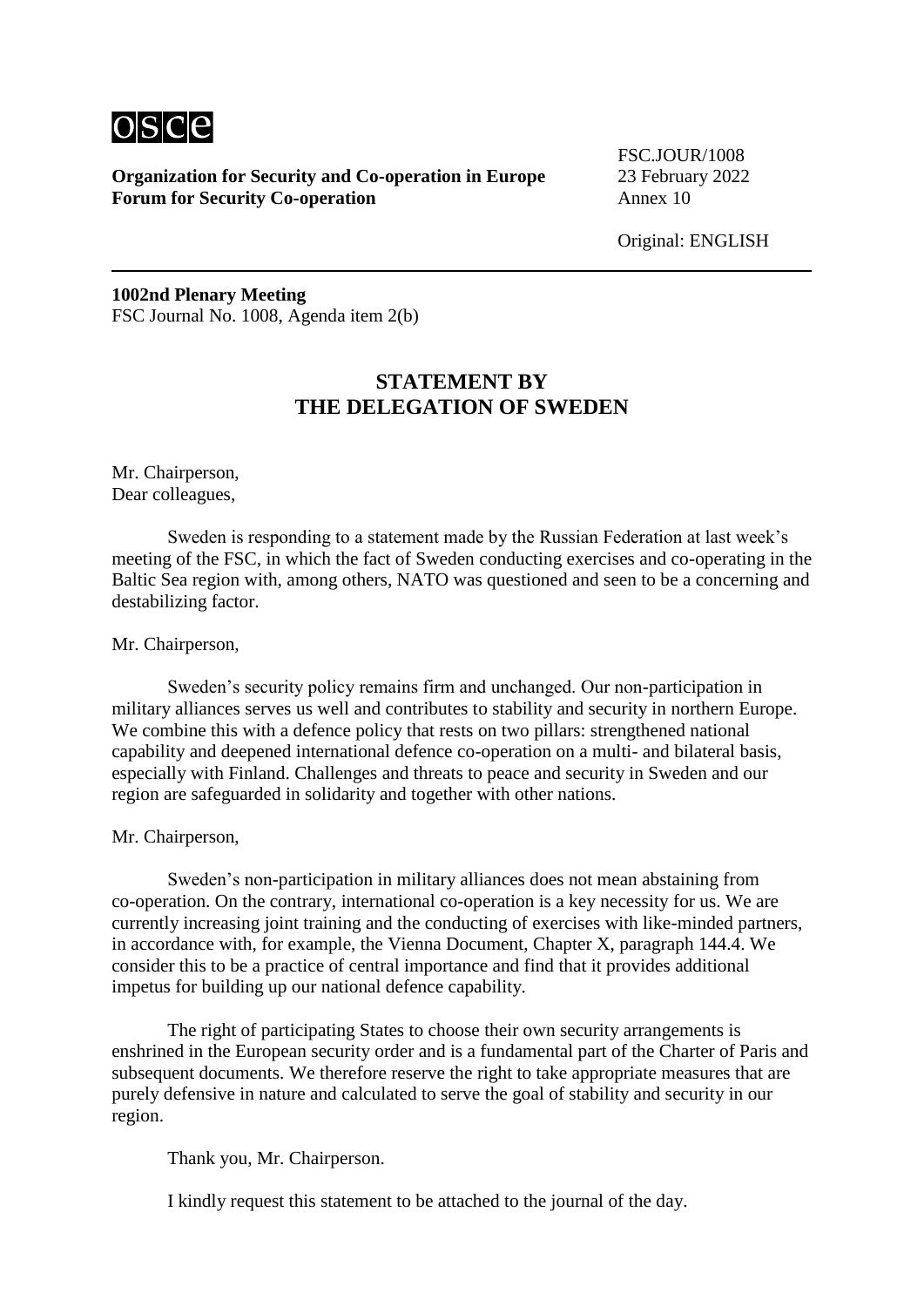

FSC.JOUR/1008

Original: ENGLISH

**1002nd Plenary Meeting** FSC Journal No. 1008, Agenda item 2(b)

# **STATEMENT BY THE DELEGATION OF SWEDEN**

Mr. Chairperson, Dear colleagues,

Sweden is responding to a statement made by the Russian Federation at last week's meeting of the FSC, in which the fact of Sweden conducting exercises and co-operating in the Baltic Sea region with, among others, NATO was questioned and seen to be a concerning and destabilizing factor.

Mr. Chairperson,

Sweden's security policy remains firm and unchanged. Our non-participation in military alliances serves us well and contributes to stability and security in northern Europe. We combine this with a defence policy that rests on two pillars: strengthened national capability and deepened international defence co-operation on a multi- and bilateral basis, especially with Finland. Challenges and threats to peace and security in Sweden and our region are safeguarded in solidarity and together with other nations.

Mr. Chairperson,

Sweden's non-participation in military alliances does not mean abstaining from co-operation. On the contrary, international co-operation is a key necessity for us. We are currently increasing joint training and the conducting of exercises with like-minded partners, in accordance with, for example, the Vienna Document, Chapter X, paragraph 144.4. We consider this to be a practice of central importance and find that it provides additional impetus for building up our national defence capability.

The right of participating States to choose their own security arrangements is enshrined in the European security order and is a fundamental part of the Charter of Paris and subsequent documents. We therefore reserve the right to take appropriate measures that are purely defensive in nature and calculated to serve the goal of stability and security in our region.

Thank you, Mr. Chairperson.

I kindly request this statement to be attached to the journal of the day.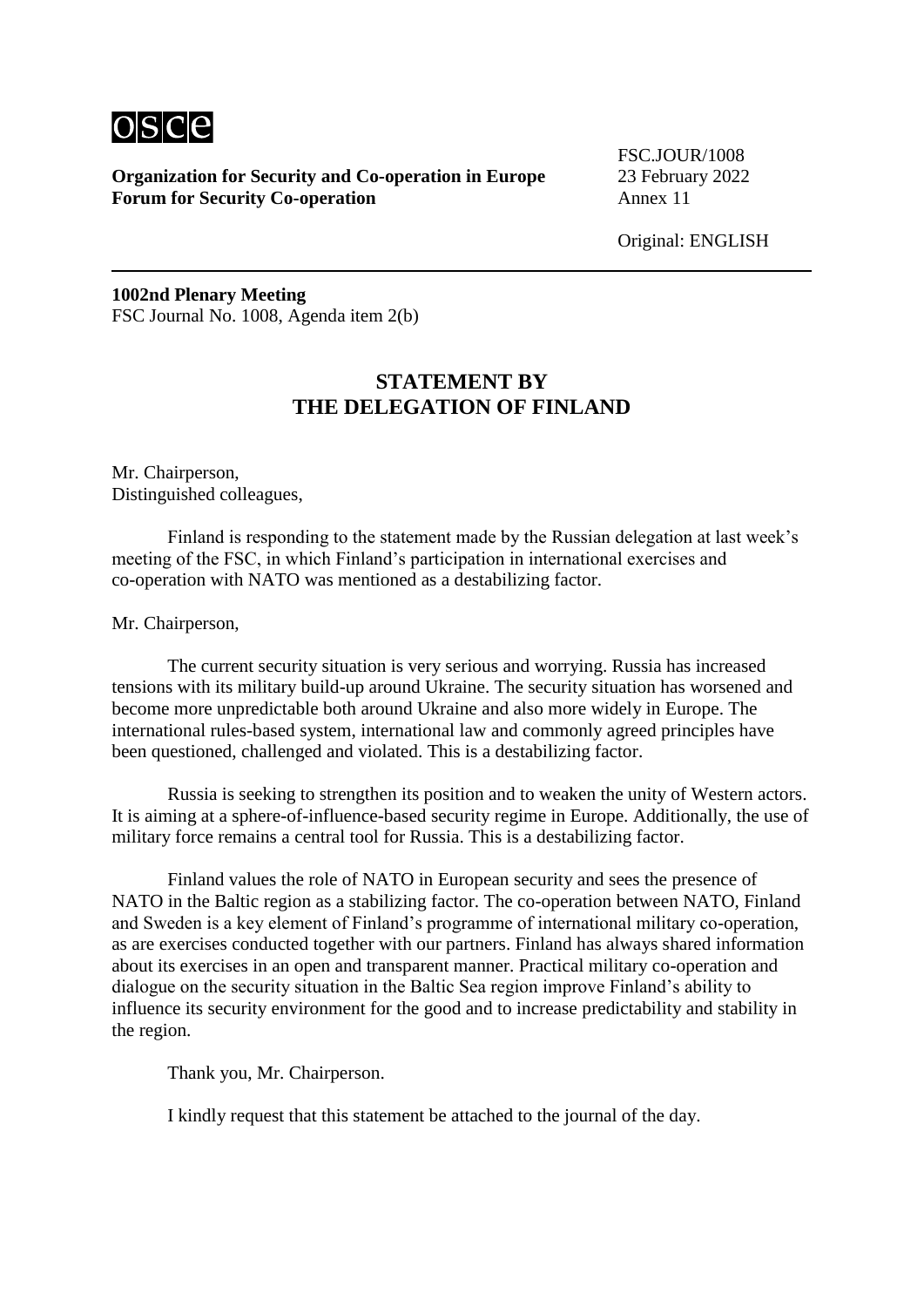

FSC.JOUR/1008

Original: ENGLISH

**1002nd Plenary Meeting** FSC Journal No. 1008, Agenda item 2(b)

# **STATEMENT BY THE DELEGATION OF FINLAND**

Mr. Chairperson, Distinguished colleagues,

Finland is responding to the statement made by the Russian delegation at last week's meeting of the FSC, in which Finland's participation in international exercises and co-operation with NATO was mentioned as a destabilizing factor.

Mr. Chairperson,

The current security situation is very serious and worrying. Russia has increased tensions with its military build-up around Ukraine. The security situation has worsened and become more unpredictable both around Ukraine and also more widely in Europe. The international rules-based system, international law and commonly agreed principles have been questioned, challenged and violated. This is a destabilizing factor.

Russia is seeking to strengthen its position and to weaken the unity of Western actors. It is aiming at a sphere-of-influence-based security regime in Europe. Additionally, the use of military force remains a central tool for Russia. This is a destabilizing factor.

Finland values the role of NATO in European security and sees the presence of NATO in the Baltic region as a stabilizing factor. The co-operation between NATO, Finland and Sweden is a key element of Finland's programme of international military co-operation, as are exercises conducted together with our partners. Finland has always shared information about its exercises in an open and transparent manner. Practical military co-operation and dialogue on the security situation in the Baltic Sea region improve Finland's ability to influence its security environment for the good and to increase predictability and stability in the region.

Thank you, Mr. Chairperson.

I kindly request that this statement be attached to the journal of the day.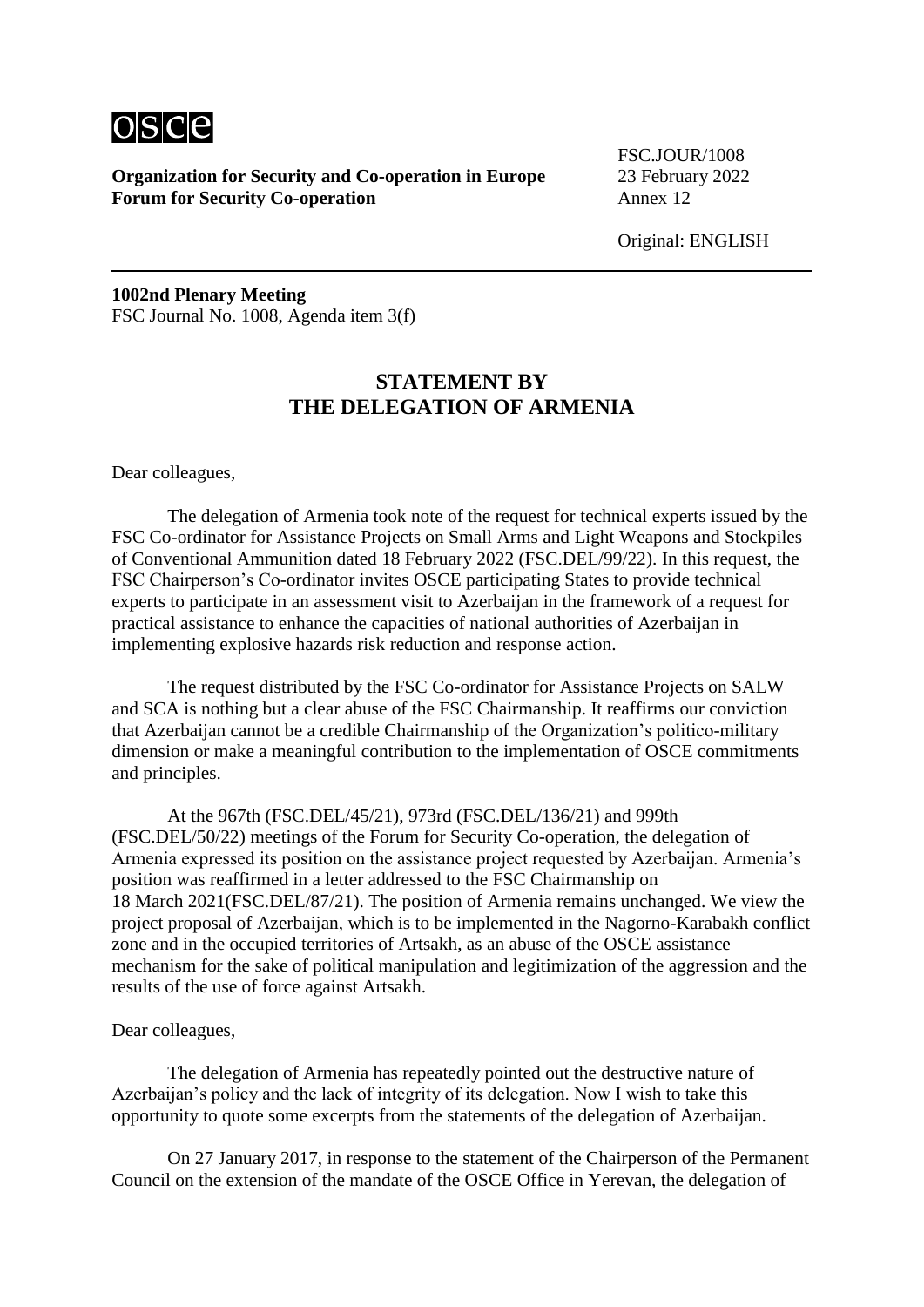

FSC.JOUR/1008

Original: ENGLISH

**1002nd Plenary Meeting** FSC Journal No. 1008, Agenda item 3(f)

# **STATEMENT BY THE DELEGATION OF ARMENIA**

Dear colleagues,

The delegation of Armenia took note of the request for technical experts issued by the FSC Co-ordinator for Assistance Projects on Small Arms and Light Weapons and Stockpiles of Conventional Ammunition dated 18 February 2022 (FSC.DEL/99/22). In this request, the FSC Chairperson's Co-ordinator invites OSCE participating States to provide technical experts to participate in an assessment visit to Azerbaijan in the framework of a request for practical assistance to enhance the capacities of national authorities of Azerbaijan in implementing explosive hazards risk reduction and response action.

The request distributed by the FSC Co-ordinator for Assistance Projects on SALW and SCA is nothing but a clear abuse of the FSC Chairmanship. It reaffirms our conviction that Azerbaijan cannot be a credible Chairmanship of the Organization's politico-military dimension or make a meaningful contribution to the implementation of OSCE commitments and principles.

At the 967th (FSC.DEL/45/21), 973rd (FSC.DEL/136/21) and 999th (FSC.DEL/50/22) meetings of the Forum for Security Co-operation, the delegation of Armenia expressed its position on the assistance project requested by Azerbaijan. Armenia's position was reaffirmed in a letter addressed to the FSC Chairmanship on 18 March 2021(FSC.DEL/87/21). The position of Armenia remains unchanged. We view the project proposal of Azerbaijan, which is to be implemented in the Nagorno-Karabakh conflict zone and in the occupied territories of Artsakh, as an abuse of the OSCE assistance mechanism for the sake of political manipulation and legitimization of the aggression and the results of the use of force against Artsakh.

#### Dear colleagues,

The delegation of Armenia has repeatedly pointed out the destructive nature of Azerbaijan's policy and the lack of integrity of its delegation. Now I wish to take this opportunity to quote some excerpts from the statements of the delegation of Azerbaijan.

On 27 January 2017, in response to the statement of the Chairperson of the Permanent Council on the extension of the mandate of the OSCE Office in Yerevan, the delegation of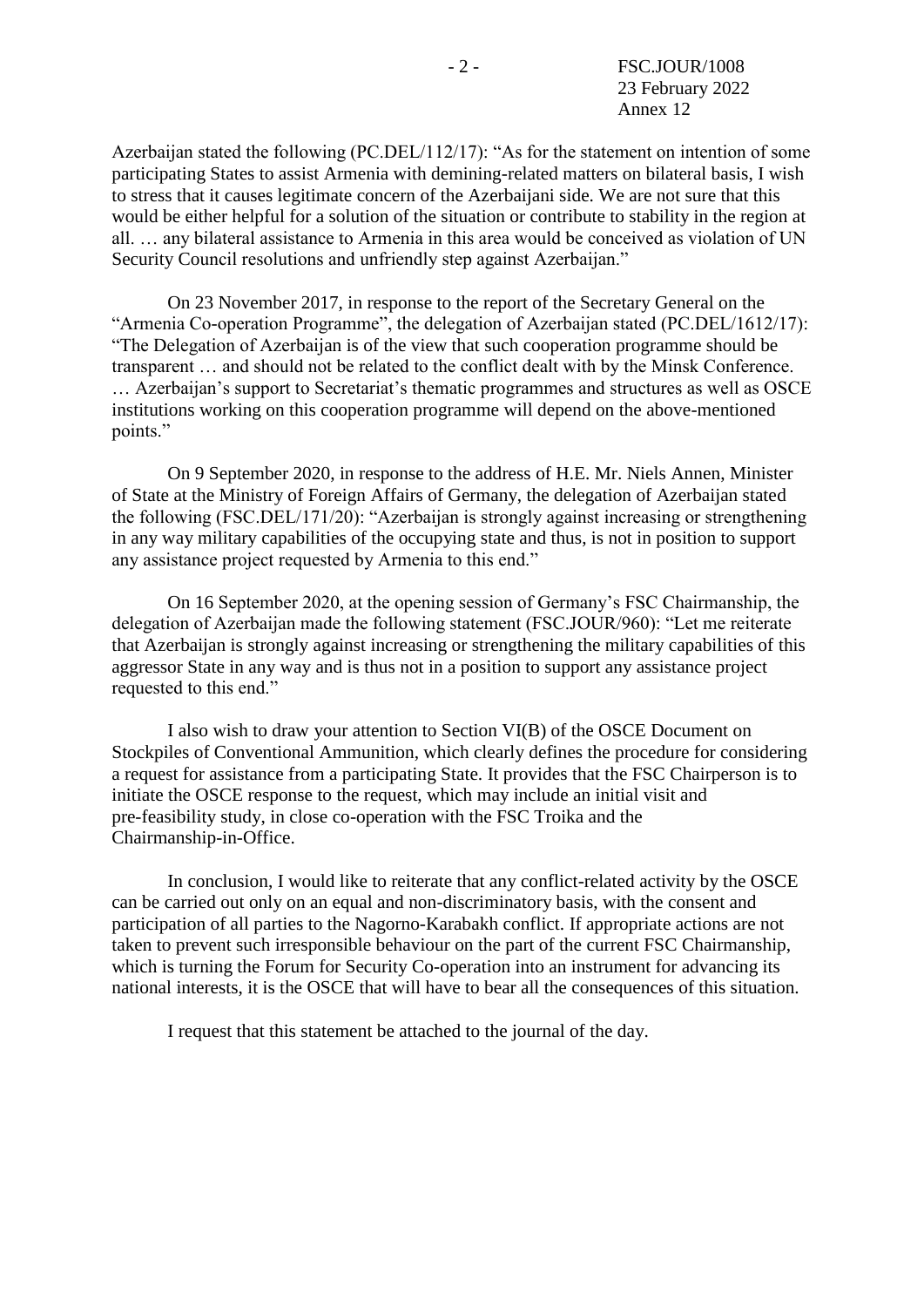Azerbaijan stated the following (PC.DEL/112/17): "As for the statement on intention of some participating States to assist Armenia with demining-related matters on bilateral basis, I wish to stress that it causes legitimate concern of the Azerbaijani side. We are not sure that this would be either helpful for a solution of the situation or contribute to stability in the region at all. … any bilateral assistance to Armenia in this area would be conceived as violation of UN Security Council resolutions and unfriendly step against Azerbaijan."

On 23 November 2017, in response to the report of the Secretary General on the "Armenia Co-operation Programme", the delegation of Azerbaijan stated (PC.DEL/1612/17): "The Delegation of Azerbaijan is of the view that such cooperation programme should be transparent … and should not be related to the conflict dealt with by the Minsk Conference. … Azerbaijan's support to Secretariat's thematic programmes and structures as well as OSCE institutions working on this cooperation programme will depend on the above-mentioned points."

On 9 September 2020, in response to the address of H.E. Mr. Niels Annen, Minister of State at the Ministry of Foreign Affairs of Germany, the delegation of Azerbaijan stated the following (FSC.DEL/171/20): "Azerbaijan is strongly against increasing or strengthening in any way military capabilities of the occupying state and thus, is not in position to support any assistance project requested by Armenia to this end."

On 16 September 2020, at the opening session of Germany's FSC Chairmanship, the delegation of Azerbaijan made the following statement (FSC.JOUR/960): "Let me reiterate that Azerbaijan is strongly against increasing or strengthening the military capabilities of this aggressor State in any way and is thus not in a position to support any assistance project requested to this end."

I also wish to draw your attention to Section VI(B) of the OSCE Document on Stockpiles of Conventional Ammunition, which clearly defines the procedure for considering a request for assistance from a participating State. It provides that the FSC Chairperson is to initiate the OSCE response to the request, which may include an initial visit and pre-feasibility study, in close co-operation with the FSC Troika and the Chairmanship-in-Office.

In conclusion, I would like to reiterate that any conflict-related activity by the OSCE can be carried out only on an equal and non-discriminatory basis, with the consent and participation of all parties to the Nagorno-Karabakh conflict. If appropriate actions are not taken to prevent such irresponsible behaviour on the part of the current FSC Chairmanship, which is turning the Forum for Security Co-operation into an instrument for advancing its national interests, it is the OSCE that will have to bear all the consequences of this situation.

I request that this statement be attached to the journal of the day.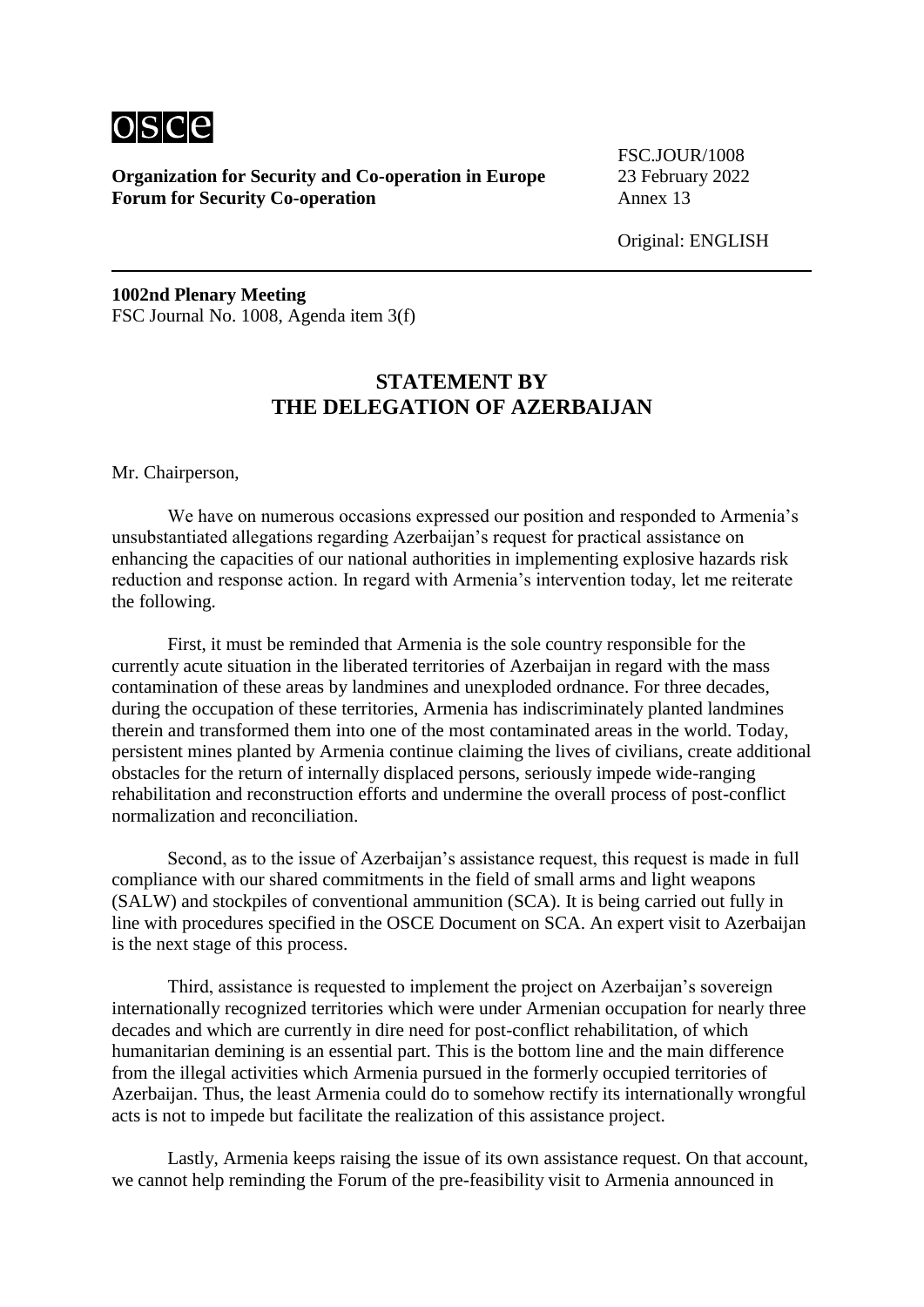

FSC.JOUR/1008

Original: ENGLISH

**1002nd Plenary Meeting** FSC Journal No. 1008, Agenda item 3(f)

# **STATEMENT BY THE DELEGATION OF AZERBAIJAN**

Mr. Chairperson,

We have on numerous occasions expressed our position and responded to Armenia's unsubstantiated allegations regarding Azerbaijan's request for practical assistance on enhancing the capacities of our national authorities in implementing explosive hazards risk reduction and response action. In regard with Armenia's intervention today, let me reiterate the following.

First, it must be reminded that Armenia is the sole country responsible for the currently acute situation in the liberated territories of Azerbaijan in regard with the mass contamination of these areas by landmines and unexploded ordnance. For three decades, during the occupation of these territories, Armenia has indiscriminately planted landmines therein and transformed them into one of the most contaminated areas in the world. Today, persistent mines planted by Armenia continue claiming the lives of civilians, create additional obstacles for the return of internally displaced persons, seriously impede wide-ranging rehabilitation and reconstruction efforts and undermine the overall process of post-conflict normalization and reconciliation.

Second, as to the issue of Azerbaijan's assistance request, this request is made in full compliance with our shared commitments in the field of small arms and light weapons (SALW) and stockpiles of conventional ammunition (SCA). It is being carried out fully in line with procedures specified in the OSCE Document on SCA. An expert visit to Azerbaijan is the next stage of this process.

Third, assistance is requested to implement the project on Azerbaijan's sovereign internationally recognized territories which were under Armenian occupation for nearly three decades and which are currently in dire need for post-conflict rehabilitation, of which humanitarian demining is an essential part. This is the bottom line and the main difference from the illegal activities which Armenia pursued in the formerly occupied territories of Azerbaijan. Thus, the least Armenia could do to somehow rectify its internationally wrongful acts is not to impede but facilitate the realization of this assistance project.

Lastly, Armenia keeps raising the issue of its own assistance request. On that account, we cannot help reminding the Forum of the pre-feasibility visit to Armenia announced in